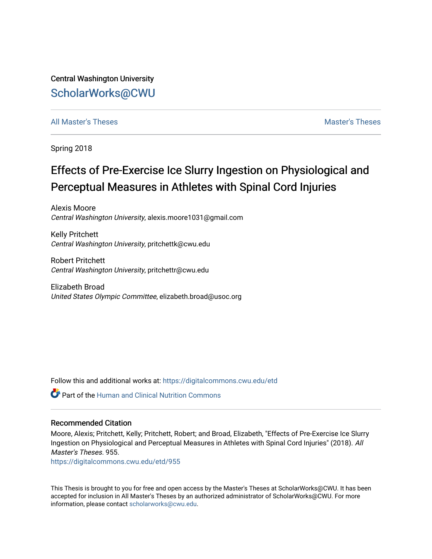Central Washington University [ScholarWorks@CWU](https://digitalcommons.cwu.edu/) 

# [All Master's Theses](https://digitalcommons.cwu.edu/etd) and the set of the set of the set of the set of the set of the set of the set of the set of the set of the set of the set of the set of the set of the set of the set of the set of the set of the set of

Spring 2018

# Effects of Pre-Exercise Ice Slurry Ingestion on Physiological and Perceptual Measures in Athletes with Spinal Cord Injuries

Alexis Moore Central Washington University, alexis.moore1031@gmail.com

Kelly Pritchett Central Washington University, pritchettk@cwu.edu

Robert Pritchett Central Washington University, pritchettr@cwu.edu

Elizabeth Broad United States Olympic Committee, elizabeth.broad@usoc.org

Follow this and additional works at: [https://digitalcommons.cwu.edu/etd](https://digitalcommons.cwu.edu/etd?utm_source=digitalcommons.cwu.edu%2Fetd%2F955&utm_medium=PDF&utm_campaign=PDFCoverPages) 

**C** Part of the [Human and Clinical Nutrition Commons](http://network.bepress.com/hgg/discipline/97?utm_source=digitalcommons.cwu.edu%2Fetd%2F955&utm_medium=PDF&utm_campaign=PDFCoverPages)

# Recommended Citation

Moore, Alexis; Pritchett, Kelly; Pritchett, Robert; and Broad, Elizabeth, "Effects of Pre-Exercise Ice Slurry Ingestion on Physiological and Perceptual Measures in Athletes with Spinal Cord Injuries" (2018). All Master's Theses. 955.

[https://digitalcommons.cwu.edu/etd/955](https://digitalcommons.cwu.edu/etd/955?utm_source=digitalcommons.cwu.edu%2Fetd%2F955&utm_medium=PDF&utm_campaign=PDFCoverPages) 

This Thesis is brought to you for free and open access by the Master's Theses at ScholarWorks@CWU. It has been accepted for inclusion in All Master's Theses by an authorized administrator of ScholarWorks@CWU. For more information, please contact [scholarworks@cwu.edu.](mailto:scholarworks@cwu.edu)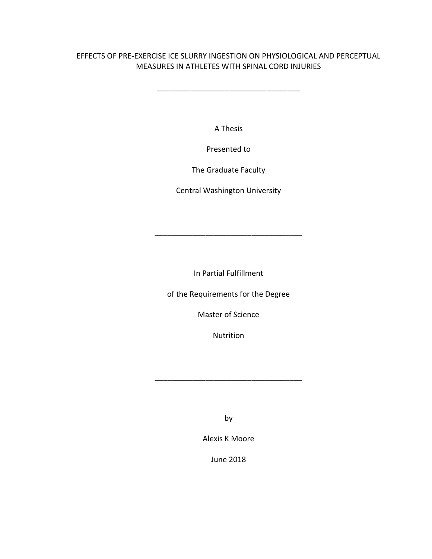# EFFECTS OF PRE-EXERCISE ICE SLURRY INGESTION ON PHYSIOLOGICAL AND PERCEPTUAL MEASURES IN ATHLETES WITH SPINAL CORD INJURIES

\_\_\_\_\_\_\_\_\_\_\_\_\_\_\_\_\_\_\_\_\_\_\_\_\_\_\_\_\_\_\_\_\_\_

A Thesis

Presented to

The Graduate Faculty

Central Washington University

In Partial Fulfillment

\_\_\_\_\_\_\_\_\_\_\_\_\_\_\_\_\_\_\_\_\_\_\_\_\_\_\_\_\_\_\_\_\_\_\_

of the Requirements for the Degree

Master of Science

Nutrition

\_\_\_\_\_\_\_\_\_\_\_\_\_\_\_\_\_\_\_\_\_\_\_\_\_\_\_\_\_\_\_\_\_\_\_

by

Alexis K Moore

June 2018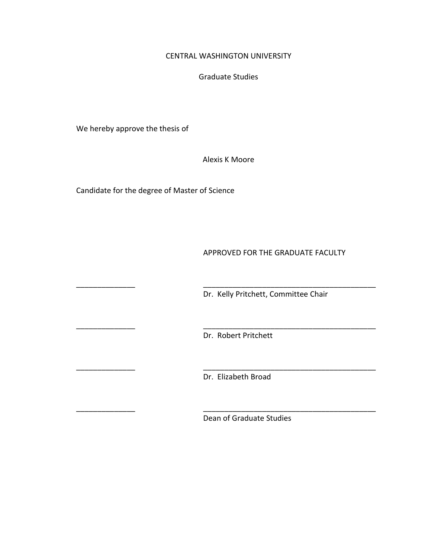# CENTRAL WASHINGTON UNIVERSITY

Graduate Studies

We hereby approve the thesis of

Alexis K Moore

Candidate for the degree of Master of Science

APPROVED FOR THE GRADUATE FACULTY

Dr. Kelly Pritchett, Committee Chair

Dr. Robert Pritchett

\_\_\_\_\_\_\_\_\_\_\_\_\_\_ \_\_\_\_\_\_\_\_\_\_\_\_\_\_\_\_\_\_\_\_\_\_\_\_\_\_\_\_\_\_\_\_\_\_\_\_\_\_\_\_\_

\_\_\_\_\_\_\_\_\_\_\_\_\_\_ \_\_\_\_\_\_\_\_\_\_\_\_\_\_\_\_\_\_\_\_\_\_\_\_\_\_\_\_\_\_\_\_\_\_\_\_\_\_\_\_\_

\_\_\_\_\_\_\_\_\_\_\_\_\_\_ \_\_\_\_\_\_\_\_\_\_\_\_\_\_\_\_\_\_\_\_\_\_\_\_\_\_\_\_\_\_\_\_\_\_\_\_\_\_\_\_\_

\_\_\_\_\_\_\_\_\_\_\_\_\_\_ \_\_\_\_\_\_\_\_\_\_\_\_\_\_\_\_\_\_\_\_\_\_\_\_\_\_\_\_\_\_\_\_\_\_\_\_\_\_\_\_\_

Dr. Elizabeth Broad

Dean of Graduate Studies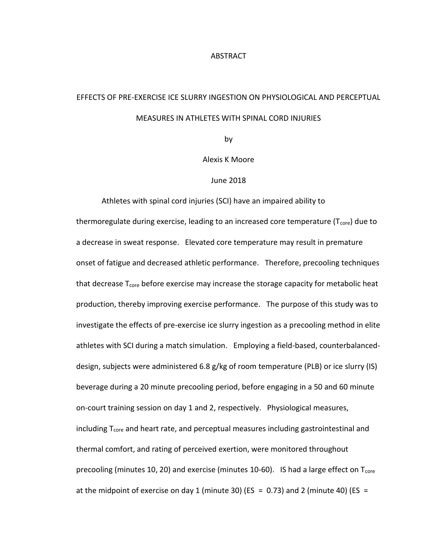#### ABSTRACT

# EFFECTS OF PRE-EXERCISE ICE SLURRY INGESTION ON PHYSIOLOGICAL AND PERCEPTUAL MEASURES IN ATHLETES WITH SPINAL CORD INJURIES

by

Alexis K Moore

#### June 2018

Athletes with spinal cord injuries (SCI) have an impaired ability to thermoregulate during exercise, leading to an increased core temperature ( $T_{core}$ ) due to a decrease in sweat response. Elevated core temperature may result in premature onset of fatigue and decreased athletic performance. Therefore, precooling techniques that decrease  $T_{core}$  before exercise may increase the storage capacity for metabolic heat production, thereby improving exercise performance. The purpose of this study was to investigate the effects of pre-exercise ice slurry ingestion as a precooling method in elite athletes with SCI during a match simulation. Employing a field-based, counterbalanceddesign, subjects were administered 6.8 g/kg of room temperature (PLB) or ice slurry (IS) beverage during a 20 minute precooling period, before engaging in a 50 and 60 minute on-court training session on day 1 and 2, respectively. Physiological measures, including  $T_{core}$  and heart rate, and perceptual measures including gastrointestinal and thermal comfort, and rating of perceived exertion, were monitored throughout precooling (minutes 10, 20) and exercise (minutes 10-60). IS had a large effect on  $T_{\text{core}}$ at the midpoint of exercise on day 1 (minute 30) (ES = 0.73) and 2 (minute 40) (ES =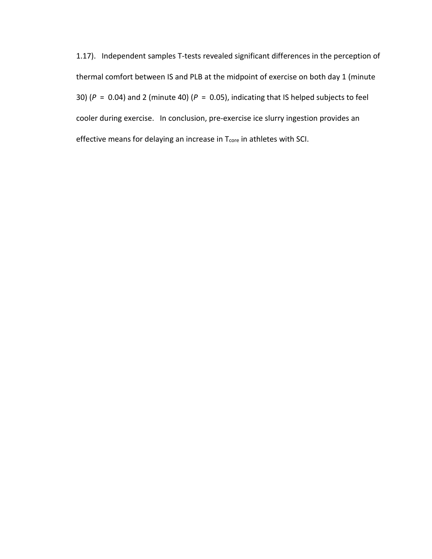1.17). Independent samples T-tests revealed significant differences in the perception of thermal comfort between IS and PLB at the midpoint of exercise on both day 1 (minute 30) ( $P = 0.04$ ) and 2 (minute 40) ( $P = 0.05$ ), indicating that IS helped subjects to feel cooler during exercise. In conclusion, pre-exercise ice slurry ingestion provides an effective means for delaying an increase in  $T_{\text{core}}$  in athletes with SCI.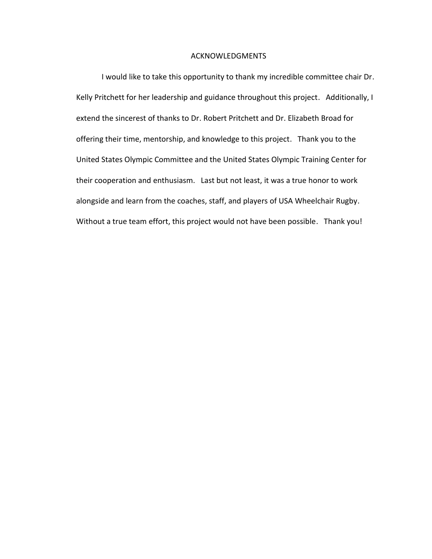#### ACKNOWLEDGMENTS

I would like to take this opportunity to thank my incredible committee chair Dr. Kelly Pritchett for her leadership and guidance throughout this project. Additionally, I extend the sincerest of thanks to Dr. Robert Pritchett and Dr. Elizabeth Broad for offering their time, mentorship, and knowledge to this project. Thank you to the United States Olympic Committee and the United States Olympic Training Center for their cooperation and enthusiasm. Last but not least, it was a true honor to work alongside and learn from the coaches, staff, and players of USA Wheelchair Rugby. Without a true team effort, this project would not have been possible. Thank you!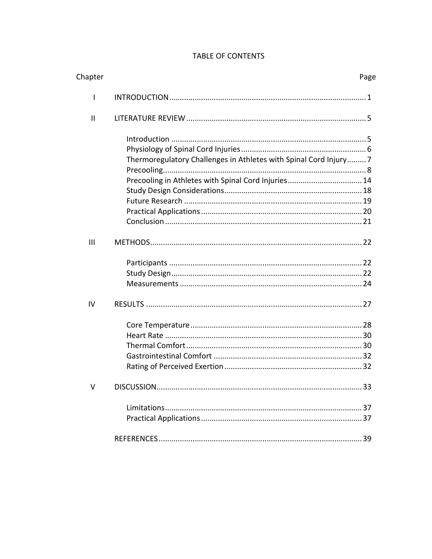# TABLE OF CONTENTS

| Chapter       | Page                                                                                                                    |
|---------------|-------------------------------------------------------------------------------------------------------------------------|
| L             |                                                                                                                         |
| $\mathsf{II}$ |                                                                                                                         |
|               | Thermoregulatory Challenges in Athletes with Spinal Cord Injury7<br>Precooling in Athletes with Spinal Cord Injuries 14 |
| III           |                                                                                                                         |
| IV            |                                                                                                                         |
| V             | 33<br>DISCUSSION.                                                                                                       |
|               |                                                                                                                         |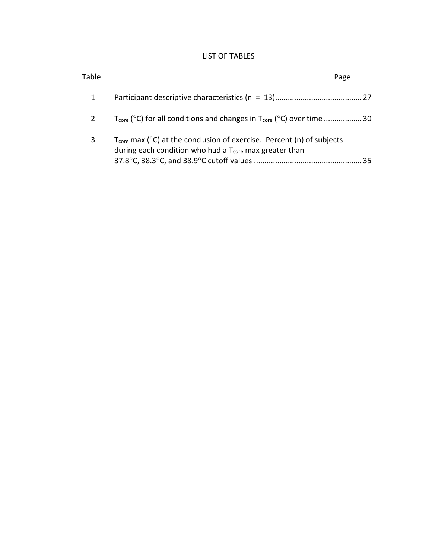# LIST OF TABLES

| Table | Page                                                                                                                                                              |
|-------|-------------------------------------------------------------------------------------------------------------------------------------------------------------------|
| 1     |                                                                                                                                                                   |
| 2     | $T_{\text{core}}$ (°C) for all conditions and changes in $T_{\text{core}}$ (°C) over time 30                                                                      |
| 3     | $T_{\text{core}}$ max ( $^{\circ}$ C) at the conclusion of exercise. Percent (n) of subjects<br>during each condition who had a $T_{core}$ max greater than<br>35 |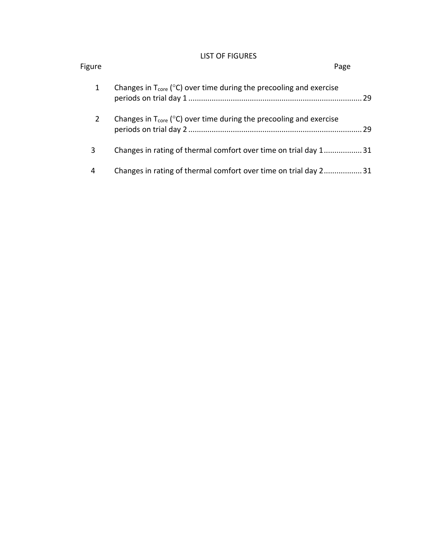# LIST OF FIGURES

| Figure |                                                                                           | Page |  |
|--------|-------------------------------------------------------------------------------------------|------|--|
| 1      | Changes in $T_{\text{core}}$ ( $^{\circ}$ C) over time during the precooling and exercise |      |  |
| 2      | Changes in $T_{\text{core}}$ ( $^{\circ}$ C) over time during the precooling and exercise | 29   |  |
| 3      | Changes in rating of thermal comfort over time on trial day 131                           |      |  |
| 4      | Changes in rating of thermal comfort over time on trial day 231                           |      |  |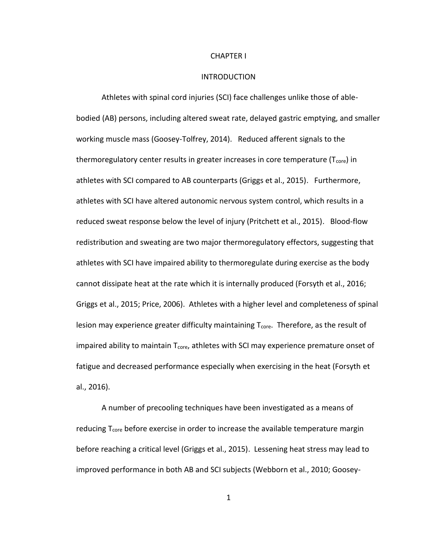#### CHAPTER I

#### INTRODUCTION

Athletes with spinal cord injuries (SCI) face challenges unlike those of ablebodied (AB) persons, including altered sweat rate, delayed gastric emptying, and smaller working muscle mass (Goosey-Tolfrey, 2014). Reduced afferent signals to the thermoregulatory center results in greater increases in core temperature  $(T_{core})$  in athletes with SCI compared to AB counterparts (Griggs et al., 2015). Furthermore, athletes with SCI have altered autonomic nervous system control, which results in a reduced sweat response below the level of injury (Pritchett et al., 2015). Blood-flow redistribution and sweating are two major thermoregulatory effectors, suggesting that athletes with SCI have impaired ability to thermoregulate during exercise as the body cannot dissipate heat at the rate which it is internally produced (Forsyth et al., 2016; Griggs et al., 2015; Price, 2006). Athletes with a higher level and completeness of spinal lesion may experience greater difficulty maintaining  $T_{\text{core}}$ . Therefore, as the result of impaired ability to maintain  $T_{\text{core}}$ , athletes with SCI may experience premature onset of fatigue and decreased performance especially when exercising in the heat (Forsyth et al., 2016).

A number of precooling techniques have been investigated as a means of reducing  $T_{core}$  before exercise in order to increase the available temperature margin before reaching a critical level (Griggs et al., 2015). Lessening heat stress may lead to improved performance in both AB and SCI subjects (Webborn et al., 2010; Goosey-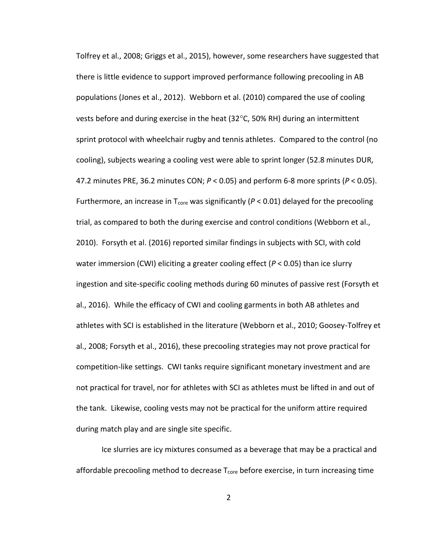Tolfrey et al., 2008; Griggs et al., 2015), however, some researchers have suggested that there is little evidence to support improved performance following precooling in AB populations (Jones et al., 2012). Webborn et al. (2010) compared the use of cooling vests before and during exercise in the heat (32 $^{\circ}$ C, 50% RH) during an intermittent sprint protocol with wheelchair rugby and tennis athletes. Compared to the control (no cooling), subjects wearing a cooling vest were able to sprint longer (52.8 minutes DUR, 47.2 minutes PRE, 36.2 minutes CON; *P* < 0.05) and perform 6-8 more sprints (*P* < 0.05). Furthermore, an increase in  $T_{\text{core}}$  was significantly ( $P < 0.01$ ) delayed for the precooling trial, as compared to both the during exercise and control conditions (Webborn et al., 2010). Forsyth et al. (2016) reported similar findings in subjects with SCI, with cold water immersion (CWI) eliciting a greater cooling effect (*P* < 0.05) than ice slurry ingestion and site-specific cooling methods during 60 minutes of passive rest (Forsyth et al., 2016). While the efficacy of CWI and cooling garments in both AB athletes and athletes with SCI is established in the literature (Webborn et al., 2010; Goosey-Tolfrey et al., 2008; Forsyth et al., 2016), these precooling strategies may not prove practical for competition-like settings. CWI tanks require significant monetary investment and are not practical for travel, nor for athletes with SCI as athletes must be lifted in and out of the tank. Likewise, cooling vests may not be practical for the uniform attire required during match play and are single site specific.

Ice slurries are icy mixtures consumed as a beverage that may be a practical and affordable precooling method to decrease  $T_{core}$  before exercise, in turn increasing time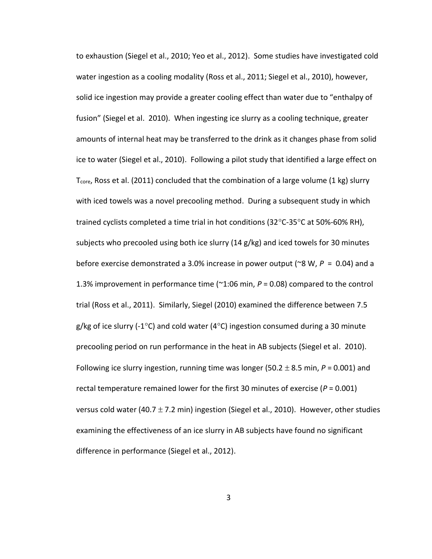to exhaustion (Siegel et al., 2010; Yeo et al., 2012). Some studies have investigated cold water ingestion as a cooling modality (Ross et al., 2011; Siegel et al., 2010), however, solid ice ingestion may provide a greater cooling effect than water due to "enthalpy of fusion" (Siegel et al. 2010). When ingesting ice slurry as a cooling technique, greater amounts of internal heat may be transferred to the drink as it changes phase from solid ice to water (Siegel et al., 2010). Following a pilot study that identified a large effect on  $T_{core}$ , Ross et al. (2011) concluded that the combination of a large volume (1 kg) slurry with iced towels was a novel precooling method. During a subsequent study in which trained cyclists completed a time trial in hot conditions (32 $^{\circ}$ C-35 $^{\circ}$ C at 50%-60% RH), subjects who precooled using both ice slurry (14 g/kg) and iced towels for 30 minutes before exercise demonstrated a 3.0% increase in power output (~8 W, *P* = 0.04) and a 1.3% improvement in performance time (~1:06 min, *P* = 0.08) compared to the control trial (Ross et al., 2011). Similarly, Siegel (2010) examined the difference between 7.5 g/kg of ice slurry (-1 $\degree$ C) and cold water (4 $\degree$ C) ingestion consumed during a 30 minute precooling period on run performance in the heat in AB subjects (Siegel et al. 2010). Following ice slurry ingestion, running time was longer (50.2  $\pm$  8.5 min,  $P$  = 0.001) and rectal temperature remained lower for the first 30 minutes of exercise ( $P = 0.001$ ) versus cold water (40.7  $\pm$  7.2 min) ingestion (Siegel et al., 2010). However, other studies examining the effectiveness of an ice slurry in AB subjects have found no significant difference in performance (Siegel et al., 2012).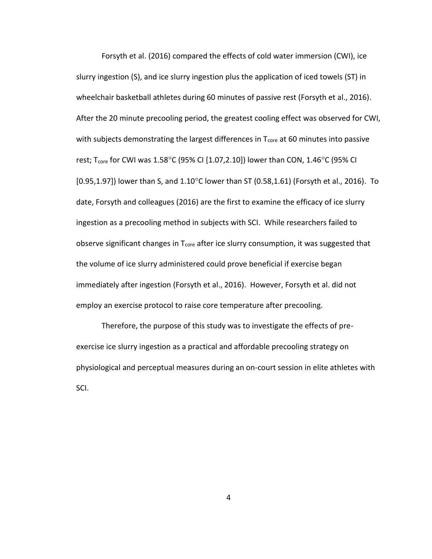Forsyth et al. (2016) compared the effects of cold water immersion (CWI), ice slurry ingestion (S), and ice slurry ingestion plus the application of iced towels (ST) in wheelchair basketball athletes during 60 minutes of passive rest (Forsyth et al., 2016). After the 20 minute precooling period, the greatest cooling effect was observed for CWI, with subjects demonstrating the largest differences in  $T<sub>core</sub>$  at 60 minutes into passive rest; T<sub>core</sub> for CWI was 1.58°C (95% CI [1.07,2.10]) lower than CON, 1.46°C (95% CI [0.95,1.97]) lower than S, and  $1.10^{\circ}$ C lower than ST (0.58,1.61) (Forsyth et al., 2016). To date, Forsyth and colleagues (2016) are the first to examine the efficacy of ice slurry ingestion as a precooling method in subjects with SCI. While researchers failed to observe significant changes in  $T_{core}$  after ice slurry consumption, it was suggested that the volume of ice slurry administered could prove beneficial if exercise began immediately after ingestion (Forsyth et al., 2016). However, Forsyth et al. did not employ an exercise protocol to raise core temperature after precooling.

Therefore, the purpose of this study was to investigate the effects of preexercise ice slurry ingestion as a practical and affordable precooling strategy on physiological and perceptual measures during an on-court session in elite athletes with SCI.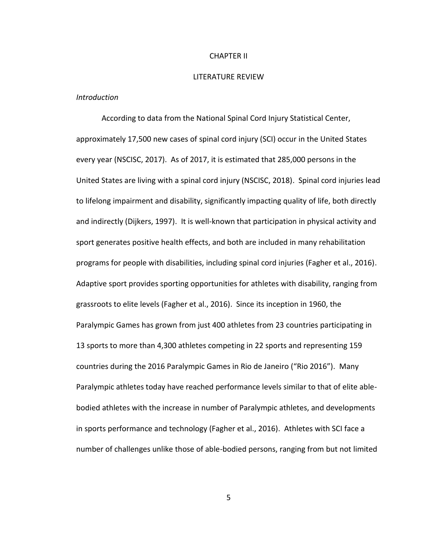#### CHAPTER II

#### LITERATURE REVIEW

# *Introduction*

According to data from the National Spinal Cord Injury Statistical Center, approximately 17,500 new cases of spinal cord injury (SCI) occur in the United States every year (NSCISC, 2017). As of 2017, it is estimated that 285,000 persons in the United States are living with a spinal cord injury (NSCISC, 2018). Spinal cord injuries lead to lifelong impairment and disability, significantly impacting quality of life, both directly and indirectly (Dijkers, 1997). It is well-known that participation in physical activity and sport generates positive health effects, and both are included in many rehabilitation programs for people with disabilities, including spinal cord injuries (Fagher et al., 2016). Adaptive sport provides sporting opportunities for athletes with disability, ranging from grassroots to elite levels (Fagher et al., 2016). Since its inception in 1960, the Paralympic Games has grown from just 400 athletes from 23 countries participating in 13 sports to more than 4,300 athletes competing in 22 sports and representing 159 countries during the 2016 Paralympic Games in Rio de Janeiro ("Rio 2016"). Many Paralympic athletes today have reached performance levels similar to that of elite ablebodied athletes with the increase in number of Paralympic athletes, and developments in sports performance and technology (Fagher et al., 2016). Athletes with SCI face a number of challenges unlike those of able-bodied persons, ranging from but not limited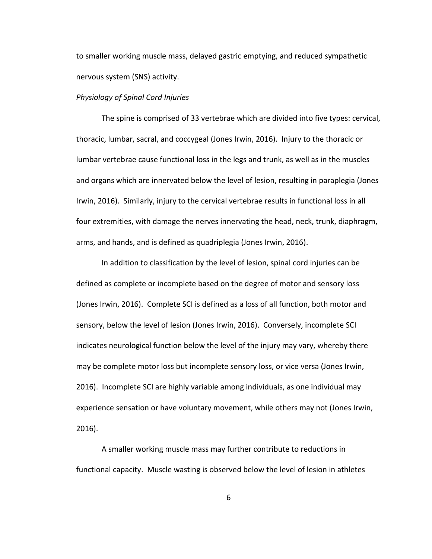to smaller working muscle mass, delayed gastric emptying, and reduced sympathetic nervous system (SNS) activity.

# *Physiology of Spinal Cord Injuries*

The spine is comprised of 33 vertebrae which are divided into five types: cervical, thoracic, lumbar, sacral, and coccygeal (Jones Irwin, 2016). Injury to the thoracic or lumbar vertebrae cause functional loss in the legs and trunk, as well as in the muscles and organs which are innervated below the level of lesion, resulting in paraplegia (Jones Irwin, 2016). Similarly, injury to the cervical vertebrae results in functional loss in all four extremities, with damage the nerves innervating the head, neck, trunk, diaphragm, arms, and hands, and is defined as quadriplegia (Jones Irwin, 2016).

In addition to classification by the level of lesion, spinal cord injuries can be defined as complete or incomplete based on the degree of motor and sensory loss (Jones Irwin, 2016). Complete SCI is defined as a loss of all function, both motor and sensory, below the level of lesion (Jones Irwin, 2016). Conversely, incomplete SCI indicates neurological function below the level of the injury may vary, whereby there may be complete motor loss but incomplete sensory loss, or vice versa (Jones Irwin, 2016). Incomplete SCI are highly variable among individuals, as one individual may experience sensation or have voluntary movement, while others may not (Jones Irwin, 2016).

A smaller working muscle mass may further contribute to reductions in functional capacity. Muscle wasting is observed below the level of lesion in athletes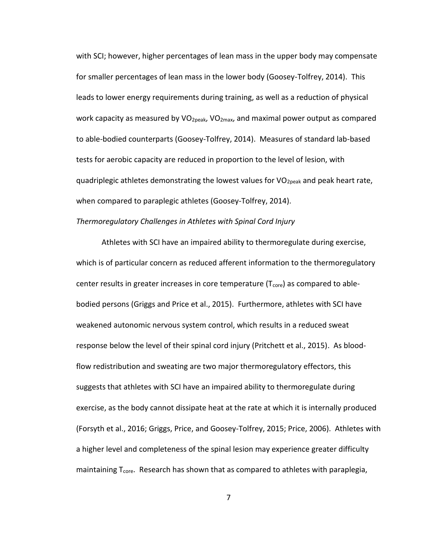with SCI; however, higher percentages of lean mass in the upper body may compensate for smaller percentages of lean mass in the lower body (Goosey-Tolfrey, 2014). This leads to lower energy requirements during training, as well as a reduction of physical work capacity as measured by  $VO<sub>2peak</sub>$ ,  $VO<sub>2max</sub>$ , and maximal power output as compared to able-bodied counterparts (Goosey-Tolfrey, 2014). Measures of standard lab-based tests for aerobic capacity are reduced in proportion to the level of lesion, with quadriplegic athletes demonstrating the lowest values for  $VO_{2peak}$  and peak heart rate, when compared to paraplegic athletes (Goosey-Tolfrey, 2014).

# *Thermoregulatory Challenges in Athletes with Spinal Cord Injury*

Athletes with SCI have an impaired ability to thermoregulate during exercise, which is of particular concern as reduced afferent information to the thermoregulatory center results in greater increases in core temperature  $(T_{core})$  as compared to ablebodied persons (Griggs and Price et al., 2015). Furthermore, athletes with SCI have weakened autonomic nervous system control, which results in a reduced sweat response below the level of their spinal cord injury (Pritchett et al., 2015). As bloodflow redistribution and sweating are two major thermoregulatory effectors, this suggests that athletes with SCI have an impaired ability to thermoregulate during exercise, as the body cannot dissipate heat at the rate at which it is internally produced (Forsyth et al., 2016; Griggs, Price, and Goosey-Tolfrey, 2015; Price, 2006). Athletes with a higher level and completeness of the spinal lesion may experience greater difficulty maintaining  $T_{\text{core}}$ . Research has shown that as compared to athletes with paraplegia,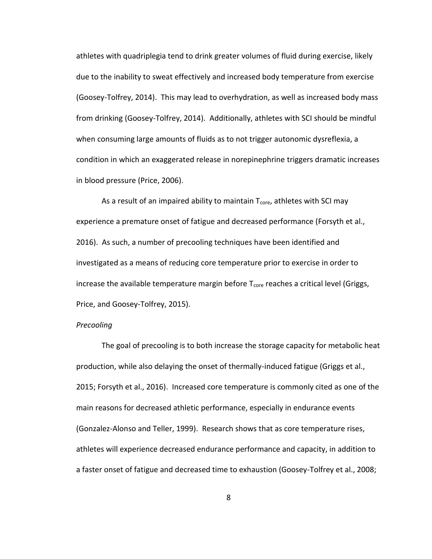athletes with quadriplegia tend to drink greater volumes of fluid during exercise, likely due to the inability to sweat effectively and increased body temperature from exercise (Goosey-Tolfrey, 2014). This may lead to overhydration, as well as increased body mass from drinking (Goosey-Tolfrey, 2014). Additionally, athletes with SCI should be mindful when consuming large amounts of fluids as to not trigger autonomic dysreflexia, a condition in which an exaggerated release in norepinephrine triggers dramatic increases in blood pressure (Price, 2006).

As a result of an impaired ability to maintain  $T_{\text{core}}$ , athletes with SCI may experience a premature onset of fatigue and decreased performance (Forsyth et al., 2016). As such, a number of precooling techniques have been identified and investigated as a means of reducing core temperature prior to exercise in order to increase the available temperature margin before  $T_{core}$  reaches a critical level (Griggs, Price, and Goosey-Tolfrey, 2015).

#### *Precooling*

The goal of precooling is to both increase the storage capacity for metabolic heat production, while also delaying the onset of thermally-induced fatigue (Griggs et al., 2015; Forsyth et al., 2016). Increased core temperature is commonly cited as one of the main reasons for decreased athletic performance, especially in endurance events (Gonzalez-Alonso and Teller, 1999). Research shows that as core temperature rises, athletes will experience decreased endurance performance and capacity, in addition to a faster onset of fatigue and decreased time to exhaustion (Goosey-Tolfrey et al., 2008;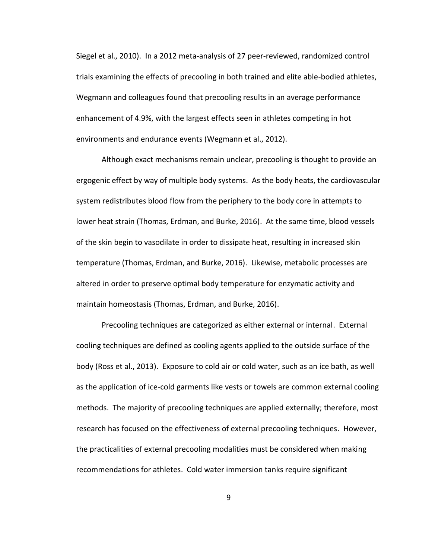Siegel et al., 2010). In a 2012 meta-analysis of 27 peer-reviewed, randomized control trials examining the effects of precooling in both trained and elite able-bodied athletes, Wegmann and colleagues found that precooling results in an average performance enhancement of 4.9%, with the largest effects seen in athletes competing in hot environments and endurance events (Wegmann et al., 2012).

Although exact mechanisms remain unclear, precooling is thought to provide an ergogenic effect by way of multiple body systems. As the body heats, the cardiovascular system redistributes blood flow from the periphery to the body core in attempts to lower heat strain (Thomas, Erdman, and Burke, 2016). At the same time, blood vessels of the skin begin to vasodilate in order to dissipate heat, resulting in increased skin temperature (Thomas, Erdman, and Burke, 2016). Likewise, metabolic processes are altered in order to preserve optimal body temperature for enzymatic activity and maintain homeostasis (Thomas, Erdman, and Burke, 2016).

Precooling techniques are categorized as either external or internal. External cooling techniques are defined as cooling agents applied to the outside surface of the body (Ross et al., 2013). Exposure to cold air or cold water, such as an ice bath, as well as the application of ice-cold garments like vests or towels are common external cooling methods. The majority of precooling techniques are applied externally; therefore, most research has focused on the effectiveness of external precooling techniques. However, the practicalities of external precooling modalities must be considered when making recommendations for athletes. Cold water immersion tanks require significant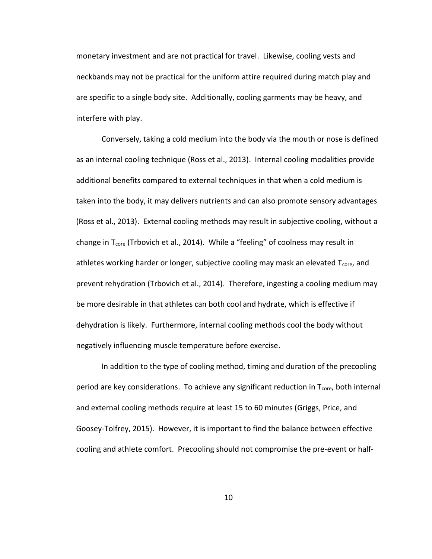monetary investment and are not practical for travel. Likewise, cooling vests and neckbands may not be practical for the uniform attire required during match play and are specific to a single body site. Additionally, cooling garments may be heavy, and interfere with play.

Conversely, taking a cold medium into the body via the mouth or nose is defined as an internal cooling technique (Ross et al., 2013). Internal cooling modalities provide additional benefits compared to external techniques in that when a cold medium is taken into the body, it may delivers nutrients and can also promote sensory advantages (Ross et al., 2013). External cooling methods may result in subjective cooling, without a change in T<sub>core</sub> (Trbovich et al., 2014). While a "feeling" of coolness may result in athletes working harder or longer, subjective cooling may mask an elevated T<sub>core</sub>, and prevent rehydration (Trbovich et al., 2014). Therefore, ingesting a cooling medium may be more desirable in that athletes can both cool and hydrate, which is effective if dehydration is likely. Furthermore, internal cooling methods cool the body without negatively influencing muscle temperature before exercise.

In addition to the type of cooling method, timing and duration of the precooling period are key considerations. To achieve any significant reduction in  $T_{core}$ , both internal and external cooling methods require at least 15 to 60 minutes (Griggs, Price, and Goosey-Tolfrey, 2015). However, it is important to find the balance between effective cooling and athlete comfort. Precooling should not compromise the pre-event or half-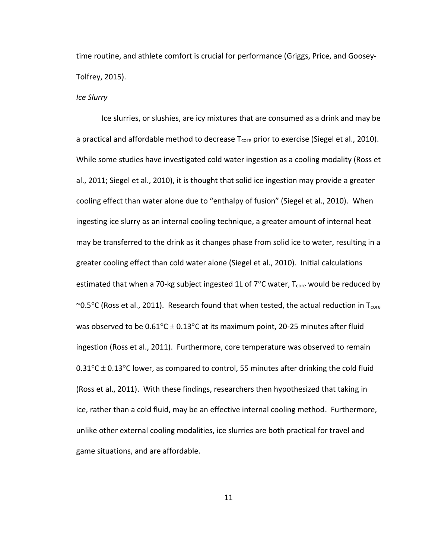time routine, and athlete comfort is crucial for performance (Griggs, Price, and Goosey-Tolfrey, 2015).

# *Ice Slurry*

Ice slurries, or slushies, are icy mixtures that are consumed as a drink and may be a practical and affordable method to decrease  $T_{\text{core}}$  prior to exercise (Siegel et al., 2010). While some studies have investigated cold water ingestion as a cooling modality (Ross et al., 2011; Siegel et al., 2010), it is thought that solid ice ingestion may provide a greater cooling effect than water alone due to "enthalpy of fusion" (Siegel et al., 2010). When ingesting ice slurry as an internal cooling technique, a greater amount of internal heat may be transferred to the drink as it changes phase from solid ice to water, resulting in a greater cooling effect than cold water alone (Siegel et al., 2010). Initial calculations estimated that when a 70-kg subject ingested 1L of  $7^{\circ}$ C water,  $T_{core}$  would be reduced by  $\sim$ 0.5 $\degree$ C (Ross et al., 2011). Research found that when tested, the actual reduction in T<sub>core</sub> was observed to be  $0.61^{\circ}$ C  $\pm$  0.13°C at its maximum point, 20-25 minutes after fluid ingestion (Ross et al., 2011). Furthermore, core temperature was observed to remain  $0.31^{\circ}$ C  $\pm$  0.13°C lower, as compared to control, 55 minutes after drinking the cold fluid (Ross et al., 2011). With these findings, researchers then hypothesized that taking in ice, rather than a cold fluid, may be an effective internal cooling method. Furthermore, unlike other external cooling modalities, ice slurries are both practical for travel and game situations, and are affordable.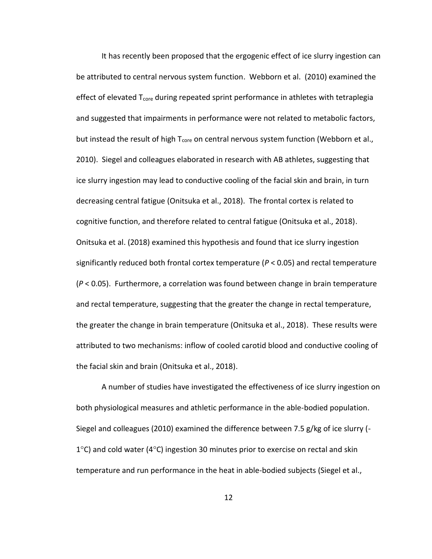It has recently been proposed that the ergogenic effect of ice slurry ingestion can be attributed to central nervous system function. Webborn et al. (2010) examined the effect of elevated  $T_{core}$  during repeated sprint performance in athletes with tetraplegia and suggested that impairments in performance were not related to metabolic factors, but instead the result of high  $T_{core}$  on central nervous system function (Webborn et al., 2010). Siegel and colleagues elaborated in research with AB athletes, suggesting that ice slurry ingestion may lead to conductive cooling of the facial skin and brain, in turn decreasing central fatigue (Onitsuka et al., 2018). The frontal cortex is related to cognitive function, and therefore related to central fatigue (Onitsuka et al., 2018). Onitsuka et al. (2018) examined this hypothesis and found that ice slurry ingestion significantly reduced both frontal cortex temperature (*P* < 0.05) and rectal temperature (*P* < 0.05). Furthermore, a correlation was found between change in brain temperature and rectal temperature, suggesting that the greater the change in rectal temperature, the greater the change in brain temperature (Onitsuka et al., 2018). These results were attributed to two mechanisms: inflow of cooled carotid blood and conductive cooling of the facial skin and brain (Onitsuka et al., 2018).

A number of studies have investigated the effectiveness of ice slurry ingestion on both physiological measures and athletic performance in the able-bodied population. Siegel and colleagues (2010) examined the difference between 7.5 g/kg of ice slurry (-  $1^{\circ}$ C) and cold water (4 $^{\circ}$ C) ingestion 30 minutes prior to exercise on rectal and skin temperature and run performance in the heat in able-bodied subjects (Siegel et al.,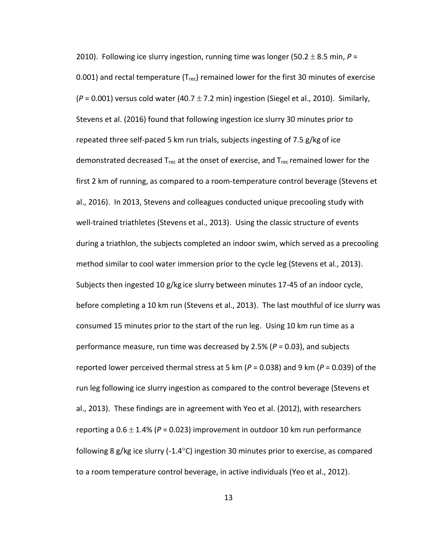2010). Following ice slurry ingestion, running time was longer (50.2  $\pm$  8.5 min,  $P =$ 0.001) and rectal temperature ( $T_{rec}$ ) remained lower for the first 30 minutes of exercise  $(P = 0.001)$  versus cold water (40.7  $\pm$  7.2 min) ingestion (Siegel et al., 2010). Similarly, Stevens et al. (2016) found that following ingestion ice slurry 30 minutes prior to repeated three self-paced 5 km run trials, subjects ingesting of 7.5 g/kg of ice demonstrated decreased  $T_{rec}$  at the onset of exercise, and  $T_{rec}$  remained lower for the first 2 km of running, as compared to a room-temperature control beverage (Stevens et al., 2016). In 2013, Stevens and colleagues conducted unique precooling study with well-trained triathletes (Stevens et al., 2013). Using the classic structure of events during a triathlon, the subjects completed an indoor swim, which served as a precooling method similar to cool water immersion prior to the cycle leg (Stevens et al., 2013). Subjects then ingested 10 g/kg ice slurry between minutes 17-45 of an indoor cycle, before completing a 10 km run (Stevens et al., 2013). The last mouthful of ice slurry was consumed 15 minutes prior to the start of the run leg. Using 10 km run time as a performance measure, run time was decreased by 2.5% (*P* = 0.03), and subjects reported lower perceived thermal stress at 5 km (*P* = 0.038) and 9 km (*P* = 0.039) of the run leg following ice slurry ingestion as compared to the control beverage (Stevens et al., 2013). These findings are in agreement with Yeo et al. (2012), with researchers reporting a  $0.6 \pm 1.4\%$  ( $P = 0.023$ ) improvement in outdoor 10 km run performance following 8 g/kg ice slurry  $(-1.4^{\circ}C)$  ingestion 30 minutes prior to exercise, as compared to a room temperature control beverage, in active individuals (Yeo et al., 2012).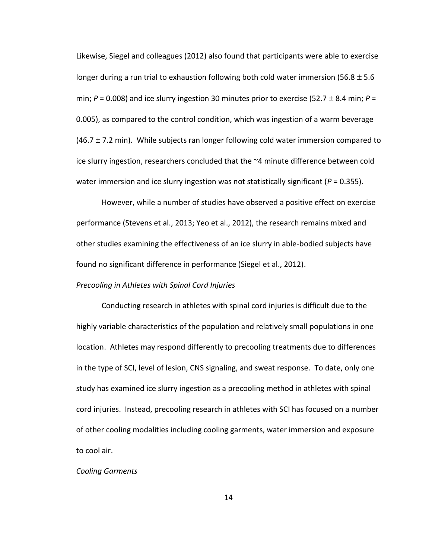Likewise, Siegel and colleagues (2012) also found that participants were able to exercise longer during a run trial to exhaustion following both cold water immersion (56.8  $\pm$  5.6 min;  $P = 0.008$ ) and ice slurry ingestion 30 minutes prior to exercise (52.7  $\pm$  8.4 min;  $P =$ 0.005), as compared to the control condition, which was ingestion of a warm beverage  $(46.7 \pm 7.2 \text{ min})$ . While subjects ran longer following cold water immersion compared to ice slurry ingestion, researchers concluded that the ~4 minute difference between cold water immersion and ice slurry ingestion was not statistically significant (*P* = 0.355).

However, while a number of studies have observed a positive effect on exercise performance (Stevens et al., 2013; Yeo et al., 2012), the research remains mixed and other studies examining the effectiveness of an ice slurry in able-bodied subjects have found no significant difference in performance (Siegel et al., 2012).

# *Precooling in Athletes with Spinal Cord Injuries*

Conducting research in athletes with spinal cord injuries is difficult due to the highly variable characteristics of the population and relatively small populations in one location. Athletes may respond differently to precooling treatments due to differences in the type of SCI, level of lesion, CNS signaling, and sweat response. To date, only one study has examined ice slurry ingestion as a precooling method in athletes with spinal cord injuries. Instead, precooling research in athletes with SCI has focused on a number of other cooling modalities including cooling garments, water immersion and exposure to cool air.

#### *Cooling Garments*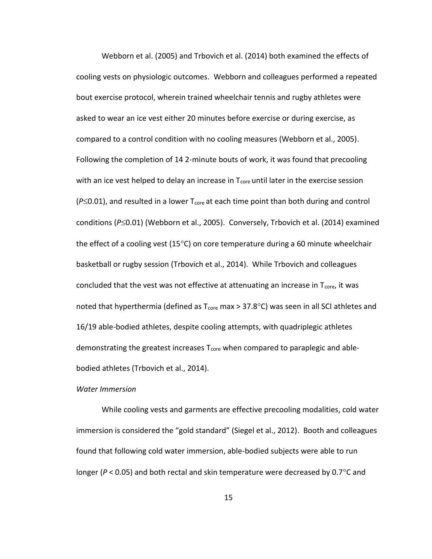Webborn et al. (2005) and Trbovich et al. (2014) both examined the effects of cooling vests on physiologic outcomes. Webborn and colleagues performed a repeated bout exercise protocol, wherein trained wheelchair tennis and rugby athletes were asked to wear an ice vest either 20 minutes before exercise or during exercise, as compared to a control condition with no cooling measures (Webborn et al., 2005). Following the completion of 14 2-minute bouts of work, it was found that precooling with an ice vest helped to delay an increase in  $T_{core}$  until later in the exercise session  $(P \le 0.01)$ , and resulted in a lower T<sub>core</sub> at each time point than both during and control conditions (P

Solothol (Webborn et al., 2005). Conversely, Trbovich et al. (2014) examined the effect of a cooling vest (15 $^{\circ}$ C) on core temperature during a 60 minute wheelchair basketball or rugby session (Trbovich et al., 2014). While Trbovich and colleagues concluded that the vest was not effective at attenuating an increase in  $T_{core}$ , it was noted that hyperthermia (defined as  $T_{core}$  max  $> 37.8$ °C) was seen in all SCI athletes and 16/19 able-bodied athletes, despite cooling attempts, with quadriplegic athletes demonstrating the greatest increases  $T_{core}$  when compared to paraplegic and ablebodied athletes (Trbovich et al., 2014).

#### *Water Immersion*

While cooling vests and garments are effective precooling modalities, cold water immersion is considered the "gold standard" (Siegel et al., 2012). Booth and colleagues found that following cold water immersion, able-bodied subjects were able to run longer ( $P$  < 0.05) and both rectal and skin temperature were decreased by 0.7 $^{\circ}$ C and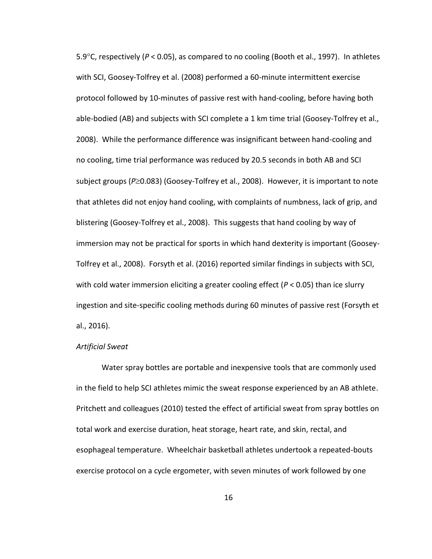5.9°C, respectively (P < 0.05), as compared to no cooling (Booth et al., 1997). In athletes with SCI, Goosey-Tolfrey et al. (2008) performed a 60-minute intermittent exercise protocol followed by 10-minutes of passive rest with hand-cooling, before having both able-bodied (AB) and subjects with SCI complete a 1 km time trial (Goosey-Tolfrey et al., 2008). While the performance difference was insignificant between hand-cooling and no cooling, time trial performance was reduced by 20.5 seconds in both AB and SCI subject groups (P \meta<sub>3</sub>) (Goosey-Tolfrey et al., 2008). However, it is important to note that athletes did not enjoy hand cooling, with complaints of numbness, lack of grip, and blistering (Goosey-Tolfrey et al., 2008). This suggests that hand cooling by way of immersion may not be practical for sports in which hand dexterity is important (Goosey-Tolfrey et al., 2008). Forsyth et al. (2016) reported similar findings in subjects with SCI, with cold water immersion eliciting a greater cooling effect (*P* < 0.05) than ice slurry ingestion and site-specific cooling methods during 60 minutes of passive rest (Forsyth et al., 2016).

#### *Artificial Sweat*

Water spray bottles are portable and inexpensive tools that are commonly used in the field to help SCI athletes mimic the sweat response experienced by an AB athlete. Pritchett and colleagues (2010) tested the effect of artificial sweat from spray bottles on total work and exercise duration, heat storage, heart rate, and skin, rectal, and esophageal temperature. Wheelchair basketball athletes undertook a repeated-bouts exercise protocol on a cycle ergometer, with seven minutes of work followed by one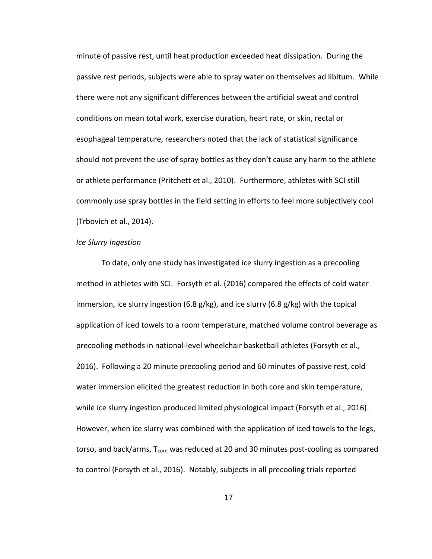minute of passive rest, until heat production exceeded heat dissipation. During the passive rest periods, subjects were able to spray water on themselves ad libitum. While there were not any significant differences between the artificial sweat and control conditions on mean total work, exercise duration, heart rate, or skin, rectal or esophageal temperature, researchers noted that the lack of statistical significance should not prevent the use of spray bottles as they don't cause any harm to the athlete or athlete performance (Pritchett et al., 2010). Furthermore, athletes with SCI still commonly use spray bottles in the field setting in efforts to feel more subjectively cool (Trbovich et al., 2014).

# *Ice Slurry Ingestion*

To date, only one study has investigated ice slurry ingestion as a precooling method in athletes with SCI. Forsyth et al. (2016) compared the effects of cold water immersion, ice slurry ingestion (6.8 g/kg), and ice slurry (6.8 g/kg) with the topical application of iced towels to a room temperature, matched volume control beverage as precooling methods in national-level wheelchair basketball athletes (Forsyth et al., 2016). Following a 20 minute precooling period and 60 minutes of passive rest, cold water immersion elicited the greatest reduction in both core and skin temperature, while ice slurry ingestion produced limited physiological impact (Forsyth et al., 2016). However, when ice slurry was combined with the application of iced towels to the legs, torso, and back/arms,  $T_{core}$  was reduced at 20 and 30 minutes post-cooling as compared to control (Forsyth et al., 2016). Notably, subjects in all precooling trials reported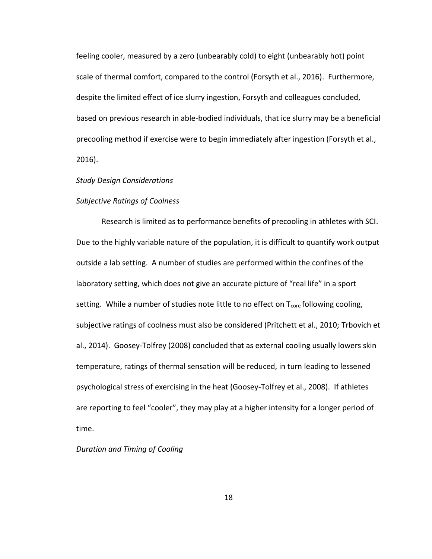feeling cooler, measured by a zero (unbearably cold) to eight (unbearably hot) point scale of thermal comfort, compared to the control (Forsyth et al., 2016). Furthermore, despite the limited effect of ice slurry ingestion, Forsyth and colleagues concluded, based on previous research in able-bodied individuals, that ice slurry may be a beneficial precooling method if exercise were to begin immediately after ingestion (Forsyth et al., 2016).

#### *Study Design Considerations*

#### *Subjective Ratings of Coolness*

Research is limited as to performance benefits of precooling in athletes with SCI. Due to the highly variable nature of the population, it is difficult to quantify work output outside a lab setting. A number of studies are performed within the confines of the laboratory setting, which does not give an accurate picture of "real life" in a sport setting. While a number of studies note little to no effect on  $T_{core}$  following cooling, subjective ratings of coolness must also be considered (Pritchett et al., 2010; Trbovich et al., 2014). Goosey-Tolfrey (2008) concluded that as external cooling usually lowers skin temperature, ratings of thermal sensation will be reduced, in turn leading to lessened psychological stress of exercising in the heat (Goosey-Tolfrey et al., 2008). If athletes are reporting to feel "cooler", they may play at a higher intensity for a longer period of time.

# *Duration and Timing of Cooling*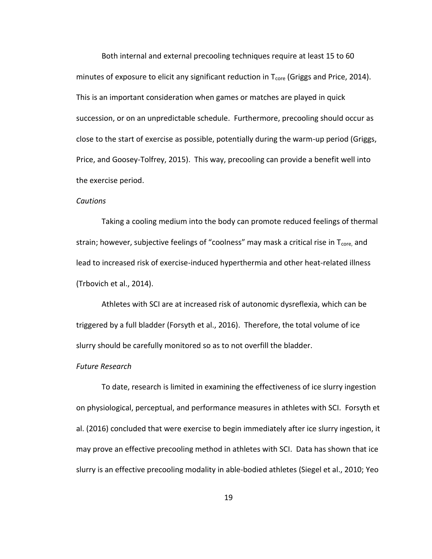Both internal and external precooling techniques require at least 15 to 60 minutes of exposure to elicit any significant reduction in  $T_{core}$  (Griggs and Price, 2014). This is an important consideration when games or matches are played in quick succession, or on an unpredictable schedule. Furthermore, precooling should occur as close to the start of exercise as possible, potentially during the warm-up period (Griggs, Price, and Goosey-Tolfrey, 2015). This way, precooling can provide a benefit well into the exercise period.

#### *Cautions*

Taking a cooling medium into the body can promote reduced feelings of thermal strain; however, subjective feelings of "coolness" may mask a critical rise in  $T<sub>core</sub>$ , and lead to increased risk of exercise-induced hyperthermia and other heat-related illness (Trbovich et al., 2014).

Athletes with SCI are at increased risk of autonomic dysreflexia, which can be triggered by a full bladder (Forsyth et al., 2016). Therefore, the total volume of ice slurry should be carefully monitored so as to not overfill the bladder.

#### *Future Research*

To date, research is limited in examining the effectiveness of ice slurry ingestion on physiological, perceptual, and performance measures in athletes with SCI. Forsyth et al. (2016) concluded that were exercise to begin immediately after ice slurry ingestion, it may prove an effective precooling method in athletes with SCI. Data has shown that ice slurry is an effective precooling modality in able-bodied athletes (Siegel et al., 2010; Yeo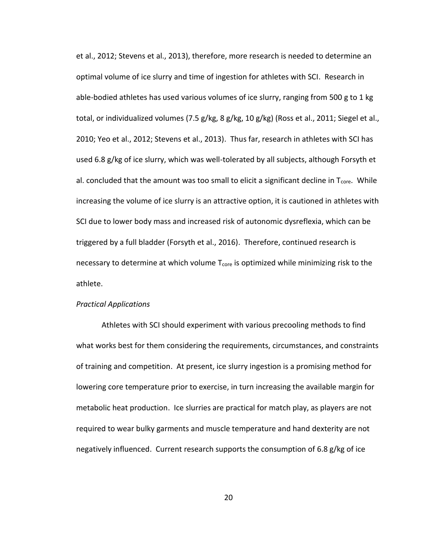et al., 2012; Stevens et al., 2013), therefore, more research is needed to determine an optimal volume of ice slurry and time of ingestion for athletes with SCI. Research in able-bodied athletes has used various volumes of ice slurry, ranging from 500 g to 1 kg total, or individualized volumes (7.5 g/kg, 8 g/kg, 10 g/kg) (Ross et al., 2011; Siegel et al., 2010; Yeo et al., 2012; Stevens et al., 2013). Thus far, research in athletes with SCI has used 6.8 g/kg of ice slurry, which was well-tolerated by all subjects, although Forsyth et al. concluded that the amount was too small to elicit a significant decline in  $T_{core}$ . While increasing the volume of ice slurry is an attractive option, it is cautioned in athletes with SCI due to lower body mass and increased risk of autonomic dysreflexia, which can be triggered by a full bladder (Forsyth et al., 2016). Therefore, continued research is necessary to determine at which volume T<sub>core</sub> is optimized while minimizing risk to the athlete.

# *Practical Applications*

Athletes with SCI should experiment with various precooling methods to find what works best for them considering the requirements, circumstances, and constraints of training and competition. At present, ice slurry ingestion is a promising method for lowering core temperature prior to exercise, in turn increasing the available margin for metabolic heat production. Ice slurries are practical for match play, as players are not required to wear bulky garments and muscle temperature and hand dexterity are not negatively influenced. Current research supports the consumption of 6.8 g/kg of ice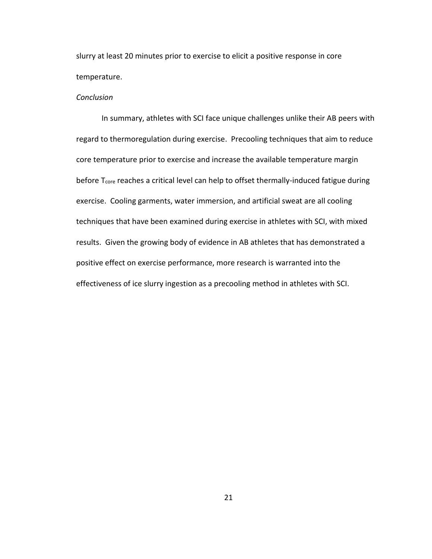slurry at least 20 minutes prior to exercise to elicit a positive response in core temperature.

# *Conclusion*

In summary, athletes with SCI face unique challenges unlike their AB peers with regard to thermoregulation during exercise. Precooling techniques that aim to reduce core temperature prior to exercise and increase the available temperature margin before T<sub>core</sub> reaches a critical level can help to offset thermally-induced fatigue during exercise. Cooling garments, water immersion, and artificial sweat are all cooling techniques that have been examined during exercise in athletes with SCI, with mixed results. Given the growing body of evidence in AB athletes that has demonstrated a positive effect on exercise performance, more research is warranted into the effectiveness of ice slurry ingestion as a precooling method in athletes with SCI.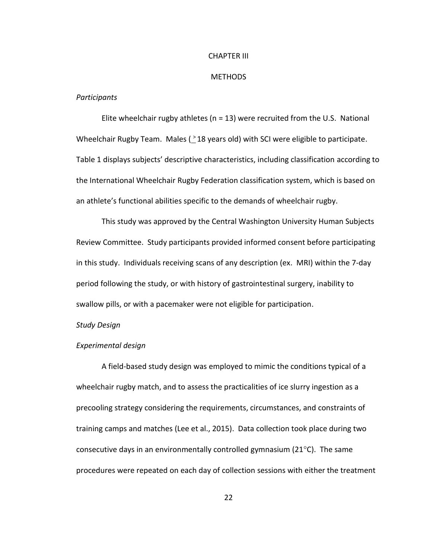#### CHAPTER III

#### **METHODS**

# *Participants*

Elite wheelchair rugby athletes ( $n = 13$ ) were recruited from the U.S. National Wheelchair Rugby Team. Males  $(218 \text{ years old})$  with SCI were eligible to participate. Table 1 displays subjects' descriptive characteristics, including classification according to the International Wheelchair Rugby Federation classification system, which is based on an athlete's functional abilities specific to the demands of wheelchair rugby.

This study was approved by the Central Washington University Human Subjects Review Committee. Study participants provided informed consent before participating in this study. Individuals receiving scans of any description (ex. MRI) within the 7-day period following the study, or with history of gastrointestinal surgery, inability to swallow pills, or with a pacemaker were not eligible for participation.

#### *Study Design*

# *Experimental design*

A field-based study design was employed to mimic the conditions typical of a wheelchair rugby match, and to assess the practicalities of ice slurry ingestion as a precooling strategy considering the requirements, circumstances, and constraints of training camps and matches (Lee et al., 2015). Data collection took place during two consecutive days in an environmentally controlled gymnasium ( $21^{\circ}$ C). The same procedures were repeated on each day of collection sessions with either the treatment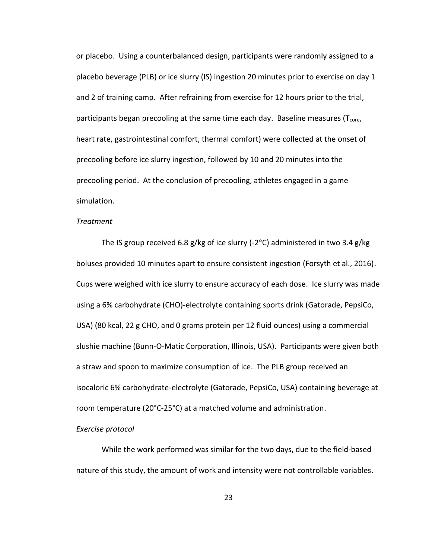or placebo. Using a counterbalanced design, participants were randomly assigned to a placebo beverage (PLB) or ice slurry (IS) ingestion 20 minutes prior to exercise on day 1 and 2 of training camp. After refraining from exercise for 12 hours prior to the trial, participants began precooling at the same time each day. Baseline measures ( $T<sub>core</sub>$ , heart rate, gastrointestinal comfort, thermal comfort) were collected at the onset of precooling before ice slurry ingestion, followed by 10 and 20 minutes into the precooling period. At the conclusion of precooling, athletes engaged in a game simulation.

# *Treatment*

The IS group received 6.8 g/kg of ice slurry (-2 $\degree$ C) administered in two 3.4 g/kg boluses provided 10 minutes apart to ensure consistent ingestion (Forsyth et al., 2016). Cups were weighed with ice slurry to ensure accuracy of each dose. Ice slurry was made using a 6% carbohydrate (CHO)-electrolyte containing sports drink (Gatorade, PepsiCo, USA) (80 kcal, 22 g CHO, and 0 grams protein per 12 fluid ounces) using a commercial slushie machine (Bunn-O-Matic Corporation, Illinois, USA). Participants were given both a straw and spoon to maximize consumption of ice. The PLB group received an isocaloric 6% carbohydrate-electrolyte (Gatorade, PepsiCo, USA) containing beverage at room temperature (20°C-25°C) at a matched volume and administration.

## *Exercise protocol*

While the work performed was similar for the two days, due to the field-based nature of this study, the amount of work and intensity were not controllable variables.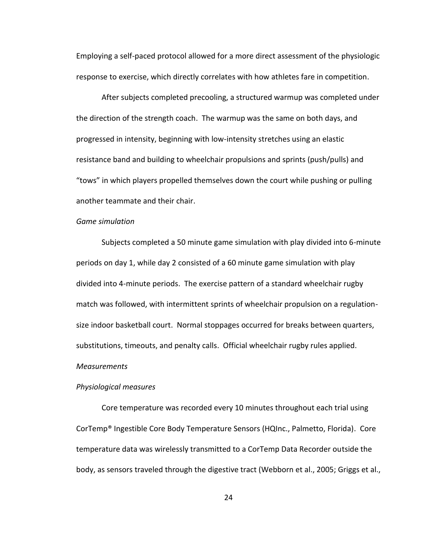Employing a self-paced protocol allowed for a more direct assessment of the physiologic response to exercise, which directly correlates with how athletes fare in competition.

After subjects completed precooling, a structured warmup was completed under the direction of the strength coach. The warmup was the same on both days, and progressed in intensity, beginning with low-intensity stretches using an elastic resistance band and building to wheelchair propulsions and sprints (push/pulls) and "tows" in which players propelled themselves down the court while pushing or pulling another teammate and their chair.

# *Game simulation*

Subjects completed a 50 minute game simulation with play divided into 6-minute periods on day 1, while day 2 consisted of a 60 minute game simulation with play divided into 4-minute periods. The exercise pattern of a standard wheelchair rugby match was followed, with intermittent sprints of wheelchair propulsion on a regulationsize indoor basketball court. Normal stoppages occurred for breaks between quarters, substitutions, timeouts, and penalty calls. Official wheelchair rugby rules applied. *Measurements*

# *Physiological measures*

Core temperature was recorded every 10 minutes throughout each trial using CorTemp® Ingestible Core Body Temperature Sensors (HQInc., Palmetto, Florida). Core temperature data was wirelessly transmitted to a CorTemp Data Recorder outside the body, as sensors traveled through the digestive tract (Webborn et al., 2005; Griggs et al.,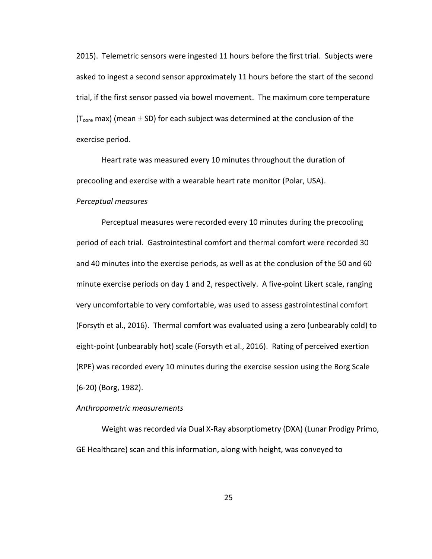2015). Telemetric sensors were ingested 11 hours before the first trial. Subjects were asked to ingest a second sensor approximately 11 hours before the start of the second trial, if the first sensor passed via bowel movement. The maximum core temperature ( $T<sub>core</sub>$  max) (mean  $\pm$  SD) for each subject was determined at the conclusion of the exercise period.

Heart rate was measured every 10 minutes throughout the duration of precooling and exercise with a wearable heart rate monitor (Polar, USA).

# *Perceptual measures*

Perceptual measures were recorded every 10 minutes during the precooling period of each trial. Gastrointestinal comfort and thermal comfort were recorded 30 and 40 minutes into the exercise periods, as well as at the conclusion of the 50 and 60 minute exercise periods on day 1 and 2, respectively. A five-point Likert scale, ranging very uncomfortable to very comfortable, was used to assess gastrointestinal comfort (Forsyth et al., 2016). Thermal comfort was evaluated using a zero (unbearably cold) to eight-point (unbearably hot) scale (Forsyth et al., 2016). Rating of perceived exertion (RPE) was recorded every 10 minutes during the exercise session using the Borg Scale (6-20) (Borg, 1982).

#### *Anthropometric measurements*

Weight was recorded via Dual X-Ray absorptiometry (DXA) (Lunar Prodigy Primo, GE Healthcare) scan and this information, along with height, was conveyed to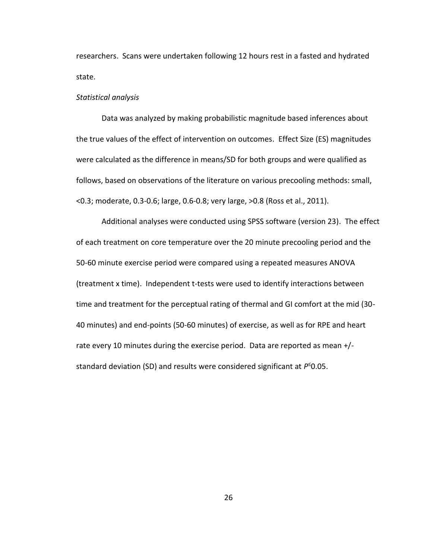researchers. Scans were undertaken following 12 hours rest in a fasted and hydrated state.

# *Statistical analysis*

Data was analyzed by making probabilistic magnitude based inferences about the true values of the effect of intervention on outcomes. Effect Size (ES) magnitudes were calculated as the difference in means/SD for both groups and were qualified as follows, based on observations of the literature on various precooling methods: small, <0.3; moderate, 0.3-0.6; large, 0.6-0.8; very large, >0.8 (Ross et al., 2011).

Additional analyses were conducted using SPSS software (version 23). The effect of each treatment on core temperature over the 20 minute precooling period and the 50-60 minute exercise period were compared using a repeated measures ANOVA (treatment x time). Independent t-tests were used to identify interactions between time and treatment for the perceptual rating of thermal and GI comfort at the mid (30- 40 minutes) and end-points (50-60 minutes) of exercise, as well as for RPE and heart rate every 10 minutes during the exercise period. Data are reported as mean +/ standard deviation (SD) and results were considered significant at *P* ≤0.05.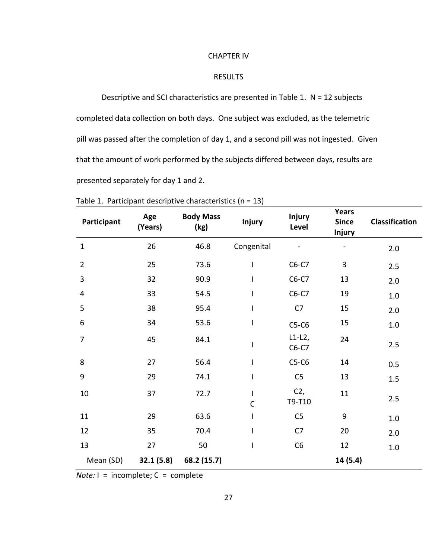#### CHAPTER IV

# RESULTS

Descriptive and SCI characteristics are presented in Table 1. N = 12 subjects completed data collection on both days. One subject was excluded, as the telemetric pill was passed after the completion of day 1, and a second pill was not ingested. Given that the amount of work performed by the subjects differed between days, results are presented separately for day 1 and 2.

| Participant    | Age<br>(Years) | <b>Body Mass</b><br>(kg) | <b>Injury</b>     | <b>Injury</b><br>Level | <b>Years</b><br><b>Since</b><br><b>Injury</b> | Classification |
|----------------|----------------|--------------------------|-------------------|------------------------|-----------------------------------------------|----------------|
| $\mathbf{1}$   | 26             | 46.8                     | Congenital        |                        |                                               | 2.0            |
| $\overline{2}$ | 25             | 73.6                     | I                 | $C6-C7$                | 3                                             | 2.5            |
| 3              | 32             | 90.9                     | I                 | $C6-C7$                | 13                                            | 2.0            |
| $\overline{4}$ | 33             | 54.5                     | I                 | $C6-C7$                | 19                                            | 1.0            |
| 5              | 38             | 95.4                     | I                 | C <sub>7</sub>         | 15                                            | 2.0            |
| 6              | 34             | 53.6                     | I                 | $C5-C6$                | 15                                            | 1.0            |
| $\overline{7}$ | 45             | 84.1                     | I                 | $L1-L2$ ,<br>$C6-C7$   | 24                                            | 2.5            |
| 8              | 27             | 56.4                     | I                 | $C5-C6$                | 14                                            | 0.5            |
| 9              | 29             | 74.1                     | I                 | C <sub>5</sub>         | 13                                            | 1.5            |
| $10\,$         | 37             | 72.7                     | L<br>$\mathsf{C}$ | $C2$ ,<br>T9-T10       | 11                                            | 2.5            |
| 11             | 29             | 63.6                     | I                 | C <sub>5</sub>         | 9                                             | 1.0            |
| 12             | 35             | 70.4                     | I                 | C <sub>7</sub>         | 20                                            | 2.0            |
| 13             | 27             | 50                       | I                 | C6                     | 12                                            | 1.0            |
| Mean (SD)      | 32.1(5.8)      | 68.2 (15.7)              |                   |                        | 14 (5.4)                                      |                |

Table 1. Participant descriptive characteristics (n = 13)

*Note:*  $I = incomplete$ ;  $C = complete$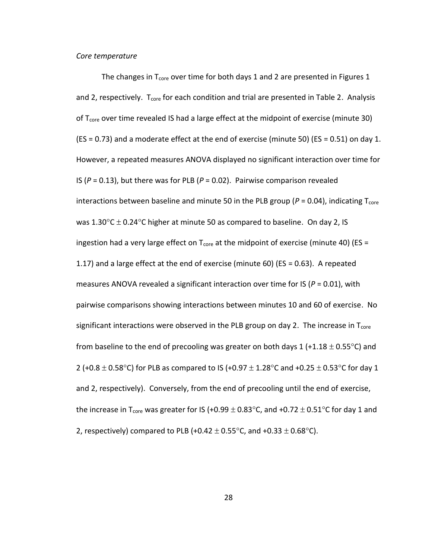#### *Core temperature*

The changes in  $T_{core}$  over time for both days 1 and 2 are presented in Figures 1 and 2, respectively. T<sub>core</sub> for each condition and trial are presented in Table 2. Analysis of T<sub>core</sub> over time revealed IS had a large effect at the midpoint of exercise (minute 30) (ES = 0.73) and a moderate effect at the end of exercise (minute 50) (ES = 0.51) on day 1. However, a repeated measures ANOVA displayed no significant interaction over time for IS (*P* = 0.13), but there was for PLB (*P* = 0.02). Pairwise comparison revealed interactions between baseline and minute 50 in the PLB group ( $P = 0.04$ ), indicating T<sub>core</sub> was 1.30 $\degree$ C  $\pm$  0.24 $\degree$ C higher at minute 50 as compared to baseline. On day 2, IS ingestion had a very large effect on  $T_{core}$  at the midpoint of exercise (minute 40) (ES = 1.17) and a large effect at the end of exercise (minute 60) (ES = 0.63). A repeated measures ANOVA revealed a significant interaction over time for IS (*P* = 0.01), with pairwise comparisons showing interactions between minutes 10 and 60 of exercise. No significant interactions were observed in the PLB group on day 2. The increase in  $T_{core}$ from baseline to the end of precooling was greater on both days 1 (+1.18  $\pm$  0.55 $^{\circ}$ C) and 2 (+0.8  $\pm$  0.58°C) for PLB as compared to IS (+0.97  $\pm$  1.28°C and +0.25  $\pm$  0.53°C for day 1 and 2, respectively). Conversely, from the end of precooling until the end of exercise, the increase in T<sub>core</sub> was greater for IS (+0.99  $\pm$  0.83 $^{\circ}$ C, and +0.72  $\pm$  0.51 $^{\circ}$ C for day 1 and 2, respectively) compared to PLB (+0.42  $\pm$  0.55°C, and +0.33  $\pm$  0.68°C).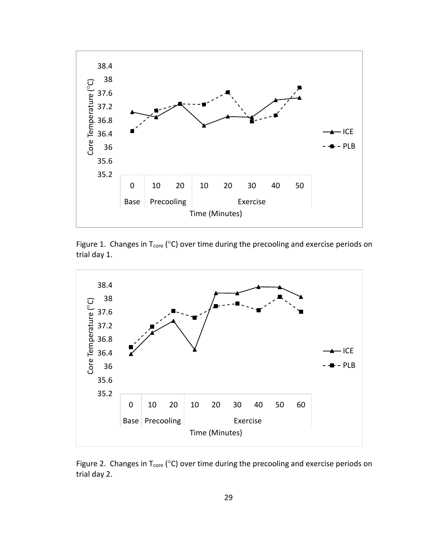

Figure 1. Changes in  $T_{core}$  (°C) over time during the precooling and exercise periods on trial day 1.



Figure 2. Changes in  $T_{core}$  (°C) over time during the precooling and exercise periods on trial day 2.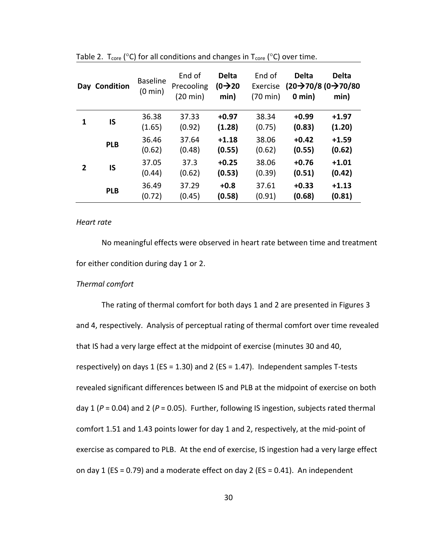|                | Day Condition | <b>Baseline</b><br>$(0 \text{ min})$ | End of<br>Precooling<br>$(20 \text{ min})$ | <b>Delta</b><br>$(0 \rightarrow 20)$<br>min) | End of<br>Exercise<br>$(70 \text{ min})$ | <b>Delta</b><br>$0 \text{ min}$ | <b>Delta</b><br>$(20\rightarrow 70/8)$ (0 $\rightarrow 70/80$<br>min) |
|----------------|---------------|--------------------------------------|--------------------------------------------|----------------------------------------------|------------------------------------------|---------------------------------|-----------------------------------------------------------------------|
| 1              | IS            | 36.38<br>(1.65)                      | 37.33<br>(0.92)                            | $+0.97$<br>(1.28)                            | 38.34<br>(0.75)                          | $+0.99$<br>(0.83)               | $+1.97$<br>(1.20)                                                     |
|                | <b>PLB</b>    | 36.46<br>(0.62)                      | 37.64<br>(0.48)                            | $+1.18$<br>(0.55)                            | 38.06<br>(0.62)                          | $+0.42$<br>(0.55)               | $+1.59$<br>(0.62)                                                     |
| $\overline{2}$ | IS            | 37.05<br>(0.44)                      | 37.3<br>(0.62)                             | $+0.25$<br>(0.53)                            | 38.06<br>(0.39)                          | $+0.76$<br>(0.51)               | $+1.01$<br>(0.42)                                                     |
|                | <b>PLB</b>    | 36.49<br>(0.72)                      | 37.29<br>(0.45)                            | $+0.8$<br>(0.58)                             | 37.61<br>(0.91)                          | $+0.33$<br>(0.68)               | $+1.13$<br>(0.81)                                                     |

Table 2.  $T_{core}$  (°C) for all conditions and changes in  $T_{core}$  (°C) over time.

# *Heart rate*

No meaningful effects were observed in heart rate between time and treatment for either condition during day 1 or 2.

# *Thermal comfort*

The rating of thermal comfort for both days 1 and 2 are presented in Figures 3 and 4, respectively. Analysis of perceptual rating of thermal comfort over time revealed that IS had a very large effect at the midpoint of exercise (minutes 30 and 40, respectively) on days 1 (ES = 1.30) and 2 (ES = 1.47). Independent samples T-tests revealed significant differences between IS and PLB at the midpoint of exercise on both day 1 (*P* = 0.04) and 2 (*P* = 0.05). Further, following IS ingestion, subjects rated thermal comfort 1.51 and 1.43 points lower for day 1 and 2, respectively, at the mid-point of exercise as compared to PLB. At the end of exercise, IS ingestion had a very large effect on day 1 (ES = 0.79) and a moderate effect on day 2 (ES = 0.41). An independent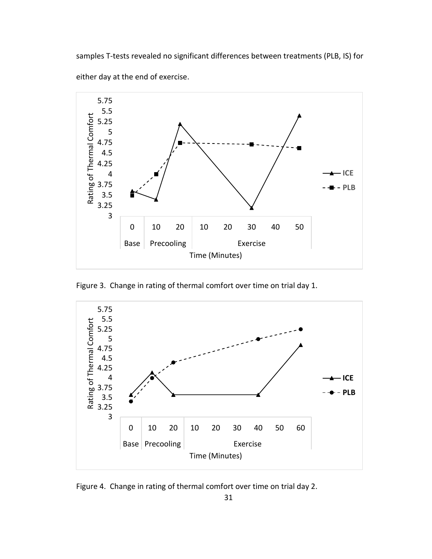samples T-tests revealed no significant differences between treatments (PLB, IS) for either day at the end of exercise.



Figure 3. Change in rating of thermal comfort over time on trial day 1.



Figure 4. Change in rating of thermal comfort over time on trial day 2.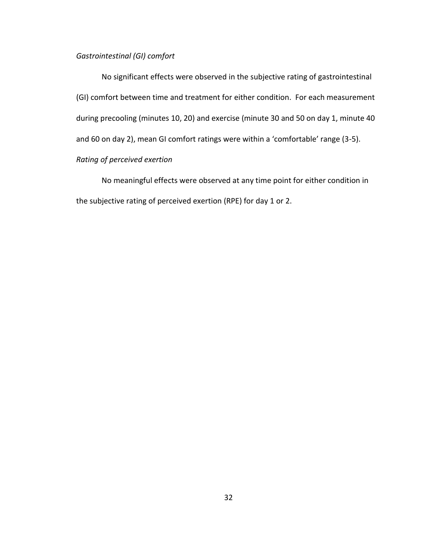# *Gastrointestinal (GI) comfort*

No significant effects were observed in the subjective rating of gastrointestinal (GI) comfort between time and treatment for either condition. For each measurement during precooling (minutes 10, 20) and exercise (minute 30 and 50 on day 1, minute 40 and 60 on day 2), mean GI comfort ratings were within a 'comfortable' range (3-5). *Rating of perceived exertion*

No meaningful effects were observed at any time point for either condition in the subjective rating of perceived exertion (RPE) for day 1 or 2.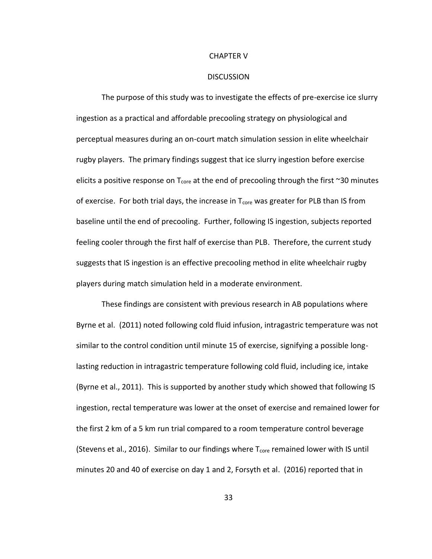#### CHAPTER V

#### **DISCUSSION**

The purpose of this study was to investigate the effects of pre-exercise ice slurry ingestion as a practical and affordable precooling strategy on physiological and perceptual measures during an on-court match simulation session in elite wheelchair rugby players. The primary findings suggest that ice slurry ingestion before exercise elicits a positive response on  $T_{core}$  at the end of precooling through the first  $\sim$ 30 minutes of exercise. For both trial days, the increase in  $T_{core}$  was greater for PLB than IS from baseline until the end of precooling. Further, following IS ingestion, subjects reported feeling cooler through the first half of exercise than PLB. Therefore, the current study suggests that IS ingestion is an effective precooling method in elite wheelchair rugby players during match simulation held in a moderate environment.

These findings are consistent with previous research in AB populations where Byrne et al. (2011) noted following cold fluid infusion, intragastric temperature was not similar to the control condition until minute 15 of exercise, signifying a possible longlasting reduction in intragastric temperature following cold fluid, including ice, intake (Byrne et al., 2011). This is supported by another study which showed that following IS ingestion, rectal temperature was lower at the onset of exercise and remained lower for the first 2 km of a 5 km run trial compared to a room temperature control beverage (Stevens et al., 2016). Similar to our findings where  $T_{core}$  remained lower with IS until minutes 20 and 40 of exercise on day 1 and 2, Forsyth et al. (2016) reported that in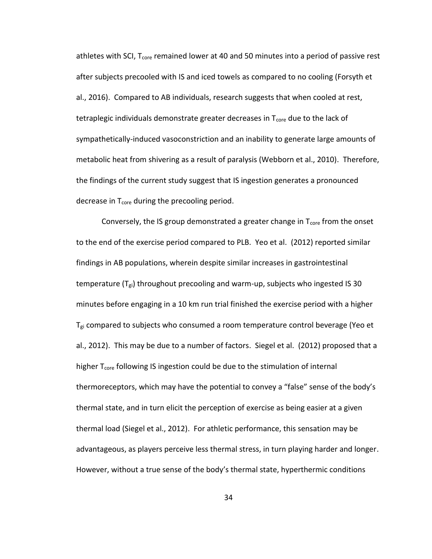athletes with SCI,  $T_{core}$  remained lower at 40 and 50 minutes into a period of passive rest after subjects precooled with IS and iced towels as compared to no cooling (Forsyth et al., 2016). Compared to AB individuals, research suggests that when cooled at rest, tetraplegic individuals demonstrate greater decreases in  $T_{core}$  due to the lack of sympathetically-induced vasoconstriction and an inability to generate large amounts of metabolic heat from shivering as a result of paralysis (Webborn et al., 2010). Therefore, the findings of the current study suggest that IS ingestion generates a pronounced decrease in  $T_{\text{core}}$  during the precooling period.

Conversely, the IS group demonstrated a greater change in  $T_{core}$  from the onset to the end of the exercise period compared to PLB. Yeo et al. (2012) reported similar findings in AB populations, wherein despite similar increases in gastrointestinal temperature  $(T_{gi})$  throughout precooling and warm-up, subjects who ingested IS 30 minutes before engaging in a 10 km run trial finished the exercise period with a higher  $T_{gi}$  compared to subjects who consumed a room temperature control beverage (Yeo et al., 2012). This may be due to a number of factors. Siegel et al. (2012) proposed that a higher T<sub>core</sub> following IS ingestion could be due to the stimulation of internal thermoreceptors, which may have the potential to convey a "false" sense of the body's thermal state, and in turn elicit the perception of exercise as being easier at a given thermal load (Siegel et al., 2012). For athletic performance, this sensation may be advantageous, as players perceive less thermal stress, in turn playing harder and longer. However, without a true sense of the body's thermal state, hyperthermic conditions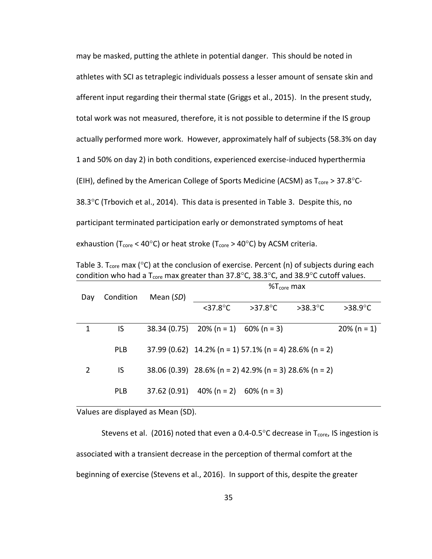may be masked, putting the athlete in potential danger. This should be noted in athletes with SCI as tetraplegic individuals possess a lesser amount of sensate skin and afferent input regarding their thermal state (Griggs et al., 2015). In the present study, total work was not measured, therefore, it is not possible to determine if the IS group actually performed more work. However, approximately half of subjects (58.3% on day 1 and 50% on day 2) in both conditions, experienced exercise-induced hyperthermia (EIH), defined by the American College of Sports Medicine (ACSM) as  $T_{\rm core}$  > 37.8°C-38.3 $\degree$ C (Trbovich et al., 2014). This data is presented in Table 3. Despite this, no participant terminated participation early or demonstrated symptoms of heat exhaustion (T<sub>core</sub> < 40°C) or heat stroke (T<sub>core</sub> > 40°C) by ACSM criteria.

Table 3. T<sub>core</sub> max ( $\degree$ C) at the conclusion of exercise. Percent (n) of subjects during each condition who had a T<sub>core</sub> max greater than 37.8°C, 38.3°C, and 38.9°C cutoff values.

| $>38.9^{\circ}C$ |
|------------------|
|                  |
| $20\%$ (n = 1)   |
|                  |
|                  |
|                  |
|                  |
|                  |
|                  |
|                  |

Values are displayed as Mean (SD).

Stevens et al. (2016) noted that even a 0.4-0.5°C decrease in  $T_{core}$ , IS ingestion is associated with a transient decrease in the perception of thermal comfort at the beginning of exercise (Stevens et al., 2016). In support of this, despite the greater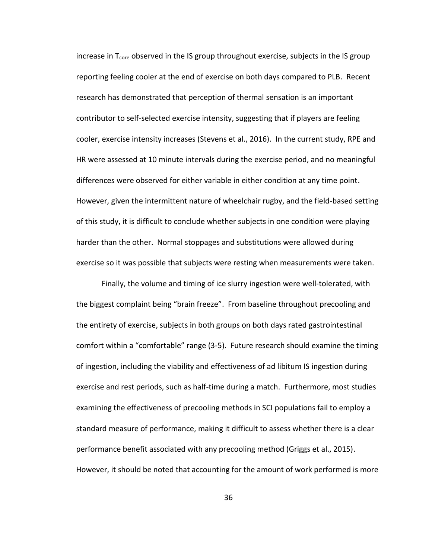increase in  $T<sub>core</sub>$  observed in the IS group throughout exercise, subjects in the IS group reporting feeling cooler at the end of exercise on both days compared to PLB. Recent research has demonstrated that perception of thermal sensation is an important contributor to self-selected exercise intensity, suggesting that if players are feeling cooler, exercise intensity increases (Stevens et al., 2016). In the current study, RPE and HR were assessed at 10 minute intervals during the exercise period, and no meaningful differences were observed for either variable in either condition at any time point. However, given the intermittent nature of wheelchair rugby, and the field-based setting of this study, it is difficult to conclude whether subjects in one condition were playing harder than the other. Normal stoppages and substitutions were allowed during exercise so it was possible that subjects were resting when measurements were taken.

Finally, the volume and timing of ice slurry ingestion were well-tolerated, with the biggest complaint being "brain freeze". From baseline throughout precooling and the entirety of exercise, subjects in both groups on both days rated gastrointestinal comfort within a "comfortable" range (3-5). Future research should examine the timing of ingestion, including the viability and effectiveness of ad libitum IS ingestion during exercise and rest periods, such as half-time during a match. Furthermore, most studies examining the effectiveness of precooling methods in SCI populations fail to employ a standard measure of performance, making it difficult to assess whether there is a clear performance benefit associated with any precooling method (Griggs et al., 2015). However, it should be noted that accounting for the amount of work performed is more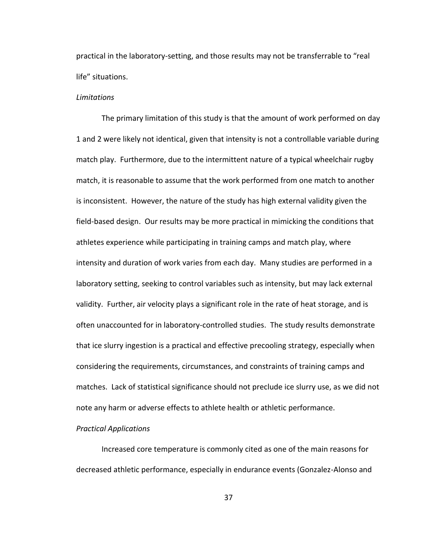practical in the laboratory-setting, and those results may not be transferrable to "real life" situations.

# *Limitations*

The primary limitation of this study is that the amount of work performed on day 1 and 2 were likely not identical, given that intensity is not a controllable variable during match play. Furthermore, due to the intermittent nature of a typical wheelchair rugby match, it is reasonable to assume that the work performed from one match to another is inconsistent. However, the nature of the study has high external validity given the field-based design. Our results may be more practical in mimicking the conditions that athletes experience while participating in training camps and match play, where intensity and duration of work varies from each day. Many studies are performed in a laboratory setting, seeking to control variables such as intensity, but may lack external validity. Further, air velocity plays a significant role in the rate of heat storage, and is often unaccounted for in laboratory-controlled studies. The study results demonstrate that ice slurry ingestion is a practical and effective precooling strategy, especially when considering the requirements, circumstances, and constraints of training camps and matches. Lack of statistical significance should not preclude ice slurry use, as we did not note any harm or adverse effects to athlete health or athletic performance.

#### *Practical Applications*

Increased core temperature is commonly cited as one of the main reasons for decreased athletic performance, especially in endurance events (Gonzalez-Alonso and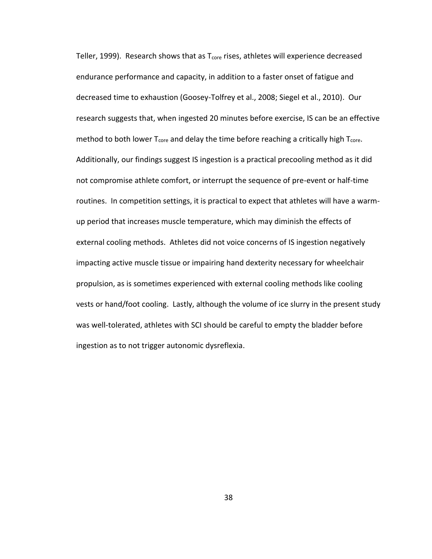Teller, 1999). Research shows that as  $T<sub>core</sub>$  rises, athletes will experience decreased endurance performance and capacity, in addition to a faster onset of fatigue and decreased time to exhaustion (Goosey-Tolfrey et al., 2008; Siegel et al., 2010). Our research suggests that, when ingested 20 minutes before exercise, IS can be an effective method to both lower  $T_{core}$  and delay the time before reaching a critically high  $T_{core}$ . Additionally, our findings suggest IS ingestion is a practical precooling method as it did not compromise athlete comfort, or interrupt the sequence of pre-event or half-time routines. In competition settings, it is practical to expect that athletes will have a warmup period that increases muscle temperature, which may diminish the effects of external cooling methods. Athletes did not voice concerns of IS ingestion negatively impacting active muscle tissue or impairing hand dexterity necessary for wheelchair propulsion, as is sometimes experienced with external cooling methods like cooling vests or hand/foot cooling. Lastly, although the volume of ice slurry in the present study was well-tolerated, athletes with SCI should be careful to empty the bladder before ingestion as to not trigger autonomic dysreflexia.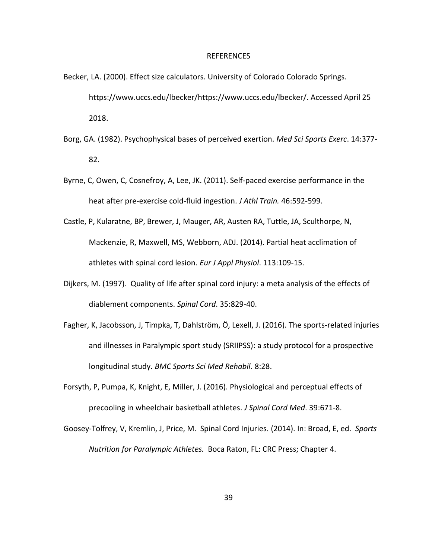#### REFERENCES

- Becker, LA. (2000). Effect size calculators. University of Colorado Colorado Springs. [https://www.uccs.edu/lbecker/h](https://www.uccs.edu/lbecker/)ttps://www.uccs.edu/lbecker/. Accessed April 25 2018.
- Borg, GA. (1982). Psychophysical bases of perceived exertion. *Med Sci Sports Exerc*. 14:377- 82.
- Byrne, C, Owen, C, Cosnefroy, A, Lee, JK. (2011). Self-paced exercise performance in the heat after pre-exercise cold-fluid ingestion. *J Athl Train.* 46:592-599.
- Castle, P, Kularatne, BP, Brewer, J, Mauger, AR, Austen RA, Tuttle, JA, Sculthorpe, N, Mackenzie, R, Maxwell, MS, Webborn, ADJ. (2014). Partial heat acclimation of athletes with spinal cord lesion. *Eur J Appl Physiol*. 113:109-15.
- Dijkers, M. (1997). Quality of life after spinal cord injury: a meta analysis of the effects of diablement components. *Spinal Cord*. 35:829-40.
- Fagher, K, Jacobsson, J, Timpka, T, Dahlström, Ö, Lexell, J. (2016). The sports-related injuries and illnesses in Paralympic sport study (SRIIPSS): a study protocol for a prospective longitudinal study. *BMC Sports Sci Med Rehabil*. 8:28.
- Forsyth, P, Pumpa, K, Knight, E, Miller, J. (2016). Physiological and perceptual effects of precooling in wheelchair basketball athletes. *J Spinal Cord Med*. 39:671-8.
- Goosey-Tolfrey, V, Kremlin, J, Price, M. Spinal Cord Injuries. (2014). In: Broad, E, ed. *Sports Nutrition for Paralympic Athletes.* Boca Raton, FL: CRC Press; Chapter 4.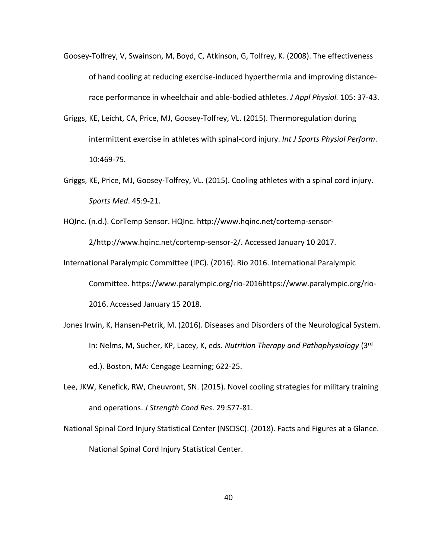- Goosey-Tolfrey, V, Swainson, M, Boyd, C, Atkinson, G, Tolfrey, K. (2008). The effectiveness of hand cooling at reducing exercise-induced hyperthermia and improving distancerace performance in wheelchair and able-bodied athletes. *J Appl Physiol.* 105: 37-43.
- Griggs, KE, Leicht, CA, Price, MJ, Goosey-Tolfrey, VL. (2015). Thermoregulation during intermittent exercise in athletes with spinal-cord injury. *Int J Sports Physiol Perform*. 10:469-75.
- Griggs, KE, Price, MJ, Goosey-Tolfrey, VL. (2015). Cooling athletes with a spinal cord injury. *Sports Med*. 45:9-21.
- HQInc. (n.d.). CorTemp Sensor. HQInc. [http://www.hqinc.net/cortemp-sensor-](http://www.hqinc.net/cortemp-sensor-2/)

[2/h](http://www.hqinc.net/cortemp-sensor-2/)ttp://www.hqinc.net/cortemp-sensor-2/. Accessed January 10 2017.

- International Paralympic Committee (IPC). (2016). Rio 2016. International Paralympic Committee. [https://www.paralympic.org/rio-2016h](https://www.paralympic.org/rio-2016)ttps://www.paralympic.org/rio-2016. Accessed January 15 2018.
- Jones Irwin, K, Hansen-Petrik, M. (2016). Diseases and Disorders of the Neurological System. In: Nelms, M, Sucher, KP, Lacey, K, eds. *Nutrition Therapy and Pathophysiology* (3rd ed.). Boston, MA: Cengage Learning; 622-25.
- Lee, JKW, Kenefick, RW, Cheuvront, SN. (2015). Novel cooling strategies for military training and operations. *J Strength Cond Res*. 29:S77-81.
- National Spinal Cord Injury Statistical Center (NSCISC). (2018). Facts and Figures at a Glance. National Spinal Cord Injury Statistical Center.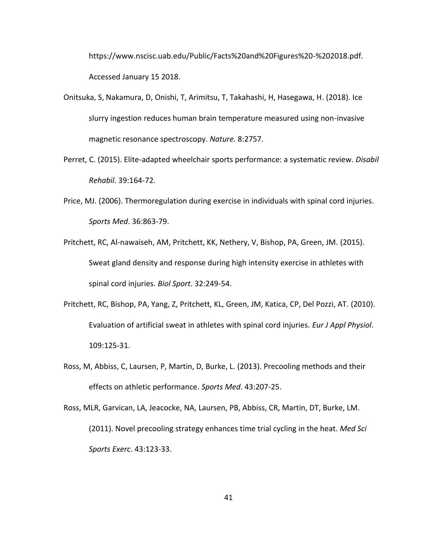https://www.nscisc.uab.edu/Public/Facts%20and%20Figures%20-%202018.pdf. Accessed January 15 2018.

- Onitsuka, S, Nakamura, D, Onishi, T, Arimitsu, T, Takahashi, H, Hasegawa, H. (2018). Ice slurry ingestion reduces human brain temperature measured using non-invasive magnetic resonance spectroscopy. *Nature.* 8:2757.
- Perret, C. (2015). Elite-adapted wheelchair sports performance: a systematic review. *Disabil Rehabil*. 39:164-72.
- Price, MJ. (2006). Thermoregulation during exercise in individuals with spinal cord injuries. *Sports Med*. 36:863-79.
- Pritchett, RC, Al-nawaiseh, AM, Pritchett, KK, Nethery, V, Bishop, PA, Green, JM. (2015). Sweat gland density and response during high intensity exercise in athletes with spinal cord injuries. *Biol Sport*. 32:249-54.
- Pritchett, RC, Bishop, PA, Yang, Z, Pritchett, KL, Green, JM, Katica, CP, Del Pozzi, AT. (2010). Evaluation of artificial sweat in athletes with spinal cord injuries. *Eur J Appl Physiol*. 109:125-31.
- Ross, M, Abbiss, C, Laursen, P, Martin, D, Burke, L. (2013). Precooling methods and their effects on athletic performance. *Sports Med*. 43:207-25.

Ross, MLR, Garvican, LA, Jeacocke, NA, Laursen, PB, Abbiss, CR, Martin, DT, Burke, LM. (2011). Novel precooling strategy enhances time trial cycling in the heat. *Med Sci Sports Exerc*. 43:123-33.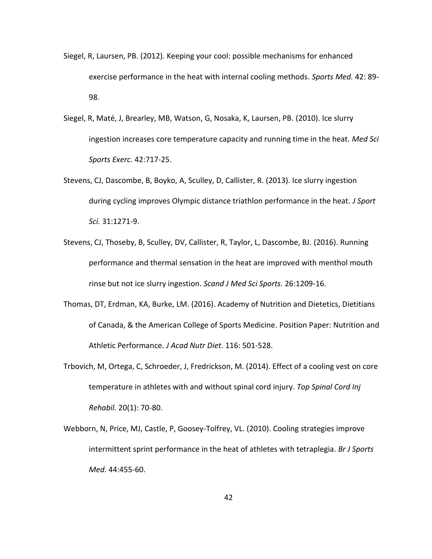- Siegel, R, Laursen, PB. (2012). Keeping your cool: possible mechanisms for enhanced exercise performance in the heat with internal cooling methods. *Sports Med.* 42: 89- 98.
- Siegel, R, Maté, J, Brearley, MB, Watson, G, Nosaka, K, Laursen, PB. (2010). Ice slurry ingestion increases core temperature capacity and running time in the heat. *Med Sci Sports Exerc*. 42:717-25.
- Stevens, CJ, Dascombe, B, Boyko, A, Sculley, D, Callister, R. (2013). Ice slurry ingestion during cycling improves Olympic distance triathlon performance in the heat. *J Sport Sci.* 31:1271-9.
- Stevens, CJ, Thoseby, B, Sculley, DV, Callister, R, Taylor, L, Dascombe, BJ. (2016). Running performance and thermal sensation in the heat are improved with menthol mouth rinse but not ice slurry ingestion. *Scand J Med Sci Sports.* 26:1209-16.
- Thomas, DT, Erdman, KA, Burke, LM. (2016). Academy of Nutrition and Dietetics, Dietitians of Canada, & the American College of Sports Medicine. Position Paper: Nutrition and Athletic Performance. *J Acad Nutr Diet*. 116: 501-528.
- Trbovich, M, Ortega, C, Schroeder, J, Fredrickson, M. (2014). Effect of a cooling vest on core temperature in athletes with and without spinal cord injury. *Top Spinal Cord Inj Rehabil.* 20(1): 70-80.
- Webborn, N, Price, MJ, Castle, P, Goosey-Tolfrey, VL. (2010). Cooling strategies improve intermittent sprint performance in the heat of athletes with tetraplegia. *Br J Sports Med*. 44:455-60.